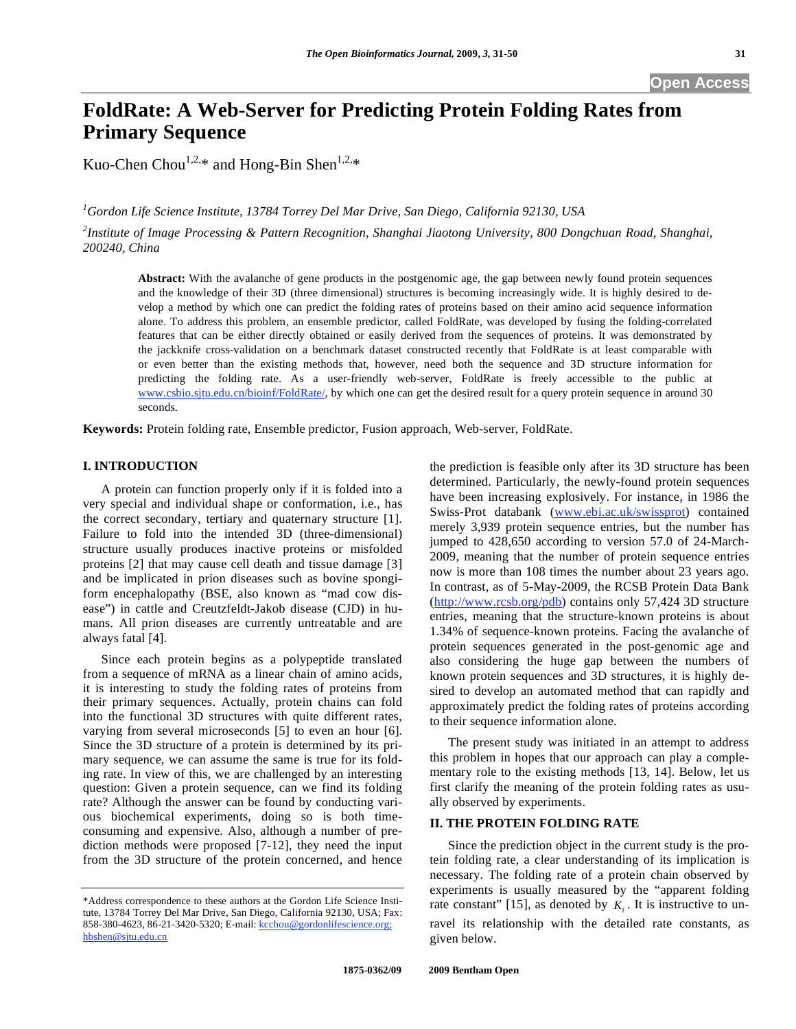# **FoldRate: A Web-Server for Predicting Protein Folding Rates from Primary Sequence**

Kuo-Chen Chou<sup>1,2,\*</sup> and Hong-Bin Shen<sup>1,2,\*</sup>

*1 Gordon Life Science Institute, 13784 Torrey Del Mar Drive, San Diego, California 92130, USA* 

*2 Institute of Image Processing & Pattern Recognition, Shanghai Jiaotong University, 800 Dongchuan Road, Shanghai, 200240, China* 

**Abstract:** With the avalanche of gene products in the postgenomic age, the gap between newly found protein sequences and the knowledge of their 3D (three dimensional) structures is becoming increasingly wide. It is highly desired to develop a method by which one can predict the folding rates of proteins based on their amino acid sequence information alone. To address this problem, an ensemble predictor, called FoldRate, was developed by fusing the folding-correlated features that can be either directly obtained or easily derived from the sequences of proteins. It was demonstrated by the jackknife cross-validation on a benchmark dataset constructed recently that FoldRate is at least comparable with or even better than the existing methods that, however, need both the sequence and 3D structure information for predicting the folding rate. As a user-friendly web-server, FoldRate is freely accessible to the public at www.csbio.sjtu.edu.cn/bioinf/FoldRate/, by which one can get the desired result for a query protein sequence in around 30 seconds.

**Keywords:** Protein folding rate, Ensemble predictor, Fusion approach, Web-server, FoldRate.

#### **I. INTRODUCTION**

 A protein can function properly only if it is folded into a very special and individual shape or conformation, i.e., has the correct secondary, tertiary and quaternary structure [1]. Failure to fold into the intended 3D (three-dimensional) structure usually produces inactive proteins or misfolded proteins [2] that may cause cell death and tissue damage [3] and be implicated in prion diseases such as bovine spongiform encephalopathy (BSE, also known as "mad cow disease") in cattle and Creutzfeldt-Jakob disease (CJD) in humans. All prion diseases are currently untreatable and are always fatal [4].

 Since each protein begins as a polypeptide translated from a sequence of mRNA as a linear chain of amino acids, it is interesting to study the folding rates of proteins from their primary sequences. Actually, protein chains can fold into the functional 3D structures with quite different rates, varying from several microseconds [5] to even an hour [6]. Since the 3D structure of a protein is determined by its primary sequence, we can assume the same is true for its folding rate. In view of this, we are challenged by an interesting question: Given a protein sequence, can we find its folding rate? Although the answer can be found by conducting various biochemical experiments, doing so is both timeconsuming and expensive. Also, although a number of prediction methods were proposed [7-12], they need the input from the 3D structure of the protein concerned, and hence

the prediction is feasible only after its 3D structure has been determined. Particularly, the newly-found protein sequences have been increasing explosively. For instance, in 1986 the Swiss-Prot databank (www.ebi.ac.uk/swissprot) contained merely 3,939 protein sequence entries, but the number has jumped to 428,650 according to version 57.0 of 24-March-2009, meaning that the number of protein sequence entries now is more than 108 times the number about 23 years ago. In contrast, as of 5-May-2009, the RCSB Protein Data Bank (http://www.rcsb.org/pdb) contains only 57,424 3D structure entries, meaning that the structure-known proteins is about 1.34% of sequence-known proteins. Facing the avalanche of protein sequences generated in the post-genomic age and also considering the huge gap between the numbers of known protein sequences and 3D structures, it is highly desired to develop an automated method that can rapidly and approximately predict the folding rates of proteins according to their sequence information alone.

 The present study was initiated in an attempt to address this problem in hopes that our approach can play a complementary role to the existing methods [13, 14]. Below, let us first clarify the meaning of the protein folding rates as usually observed by experiments.

## **II. THE PROTEIN FOLDING RATE**

 Since the prediction object in the current study is the protein folding rate, a clear understanding of its implication is necessary. The folding rate of a protein chain observed by experiments is usually measured by the "apparent folding rate constant" [15], as denoted by  $K_f$ . It is instructive to unravel its relationship with the detailed rate constants, as given below.

<sup>\*</sup>Address correspondence to these authors at the Gordon Life Science Institute, 13784 Torrey Del Mar Drive, San Diego, California 92130, USA; Fax: 858-380-4623, 86-21-3420-5320; E-mail: kcchou@gordonlifescience.org; hbshen@sjtu.edu.cn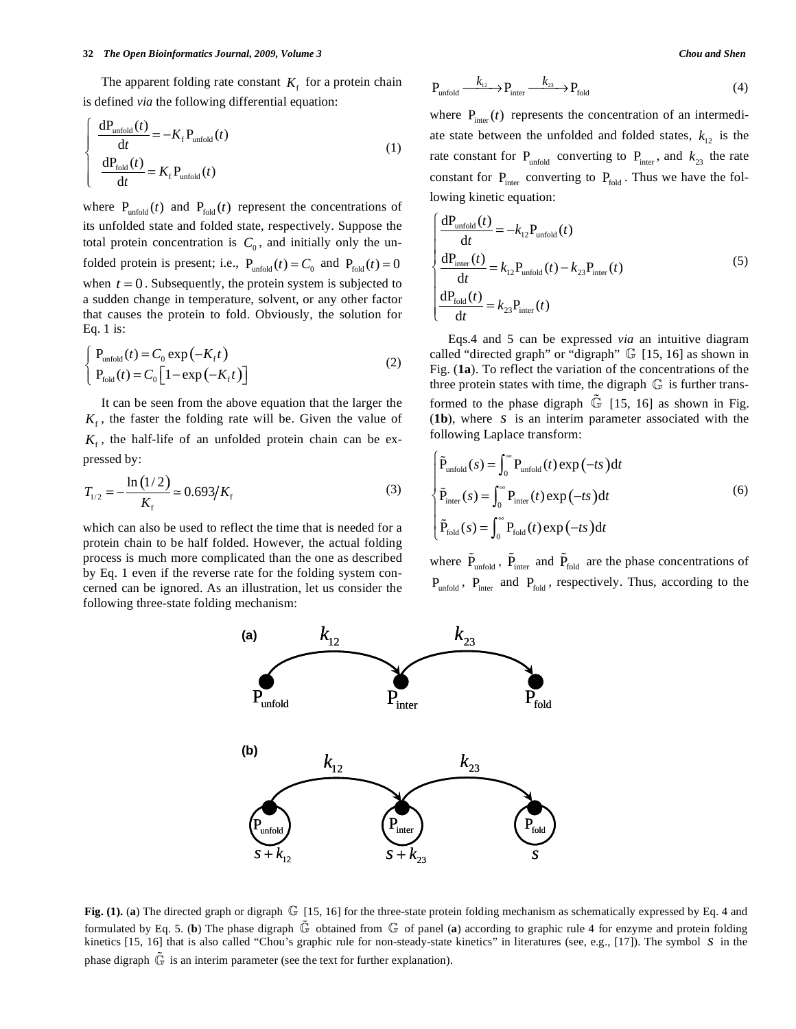The apparent folding rate constant  $K<sub>f</sub>$  for a protein chain is defined *via* the following differential equation:

$$
\begin{cases}\n\frac{dP_{\text{unfold}}(t)}{dt} = -K_f P_{\text{unfold}}(t) \\
\frac{dP_{\text{fold}}(t)}{dt} = K_f P_{\text{unfold}}(t)\n\end{cases}
$$
\n(1)

where  $P_{\text{unfold}}(t)$  and  $P_{\text{fold}}(t)$  represent the concentrations of its unfolded state and folded state, respectively. Suppose the total protein concentration is  $C_0$ , and initially only the unfolded protein is present; i.e.,  $P_{unfold}(t) = C_0$  and  $P_{fold}(t) = 0$ when  $t = 0$ . Subsequently, the protein system is subjected to a sudden change in temperature, solvent, or any other factor that causes the protein to fold. Obviously, the solution for Eq. 1 is:

$$
\begin{cases}\nP_{\text{unfold}}(t) = C_0 \exp\left(-K_t t\right) \\
P_{\text{fold}}(t) = C_0 \left[1 - \exp\left(-K_t t\right)\right]\n\end{cases}
$$
\n(2)

 It can be seen from the above equation that the larger the  $K<sub>f</sub>$ , the faster the folding rate will be. Given the value of  $K_f$ , the half-life of an unfolded protein chain can be expressed by:

$$
T_{1/2} = -\frac{\ln(1/2)}{K_{\rm f}} \approx 0.693/K_{\rm f}
$$
 (3)

which can also be used to reflect the time that is needed for a protein chain to be half folded. However, the actual folding process is much more complicated than the one as described by Eq. 1 even if the reverse rate for the folding system concerned can be ignored. As an illustration, let us consider the following three-state folding mechanism:

$$
P_{\text{unfold}} \xrightarrow{k_{12}} P_{\text{inter}} \xrightarrow{k_{23}} P_{\text{fold}} \tag{4}
$$

where  $P_{inter}(t)$  represents the concentration of an intermediate state between the unfolded and folded states,  $k_{12}$  is the rate constant for  $P_{unfold}$  converting to  $P_{inter}$ , and  $k_{23}$  the rate constant for  $P_{\text{inter}}$  converting to  $P_{\text{fold}}$ . Thus we have the following kinetic equation:

$$
\begin{cases}\n\frac{dP_{\text{unfold}}(t)}{dt} = -k_{12}P_{\text{unfold}}(t) \\
\frac{dP_{\text{inter}}(t)}{dt} = k_{12}P_{\text{unfold}}(t) - k_{23}P_{\text{inter}}(t) \\
\frac{dP_{\text{fold}}(t)}{dt} = k_{23}P_{\text{inter}}(t)\n\end{cases}
$$
\n(5)

 Eqs.4 and 5 can be expressed *via* an intuitive diagram called "directed graph" or "digraph" G [15, 16] as shown in Fig. (**1a**). To reflect the variation of the concentrations of the three protein states with time, the digraph  $\mathbb G$  is further transformed to the phase digraph  $\mathbb{G}$  [15, 16] as shown in Fig. (**1b**), where *s* is an interim parameter associated with the following Laplace transform:

$$
\begin{cases}\n\tilde{P}_{\text{unfold}}(s) = \int_0^\infty P_{\text{unfold}}(t) \exp(-ts) dt \\
\tilde{P}_{\text{inter}}(s) = \int_0^\infty P_{\text{inter}}(t) \exp(-ts) dt \\
\tilde{P}_{\text{fold}}(s) = \int_0^\infty P_{\text{fold}}(t) \exp(-ts) dt\n\end{cases}
$$
\n(6)

where  $\tilde{P}_{unfold}$ ,  $\tilde{P}_{inter}$  and  $\tilde{P}_{fold}$  are the phase concentrations of  $P_{unfold}$ ,  $P_{inter}$  and  $P_{fold}$ , respectively. Thus, according to the



**Fig. (1).** (**a**) The directed graph or digraph G [15, 16] for the three-state protein folding mechanism as schematically expressed by Eq. 4 and formulated by Eq. 5. (**b**) The phase digraph G obtained from G of panel (**a**) according to graphic rule 4 for enzyme and protein folding kinetics [15, 16] that is also called "Chou's graphic rule for non-steady-state kinetics" in literatures (see, e.g., [17]). The symbol *s* in the phase digraph  $\tilde{\mathbb{G}}$  is an interim parameter (see the text for further explanation).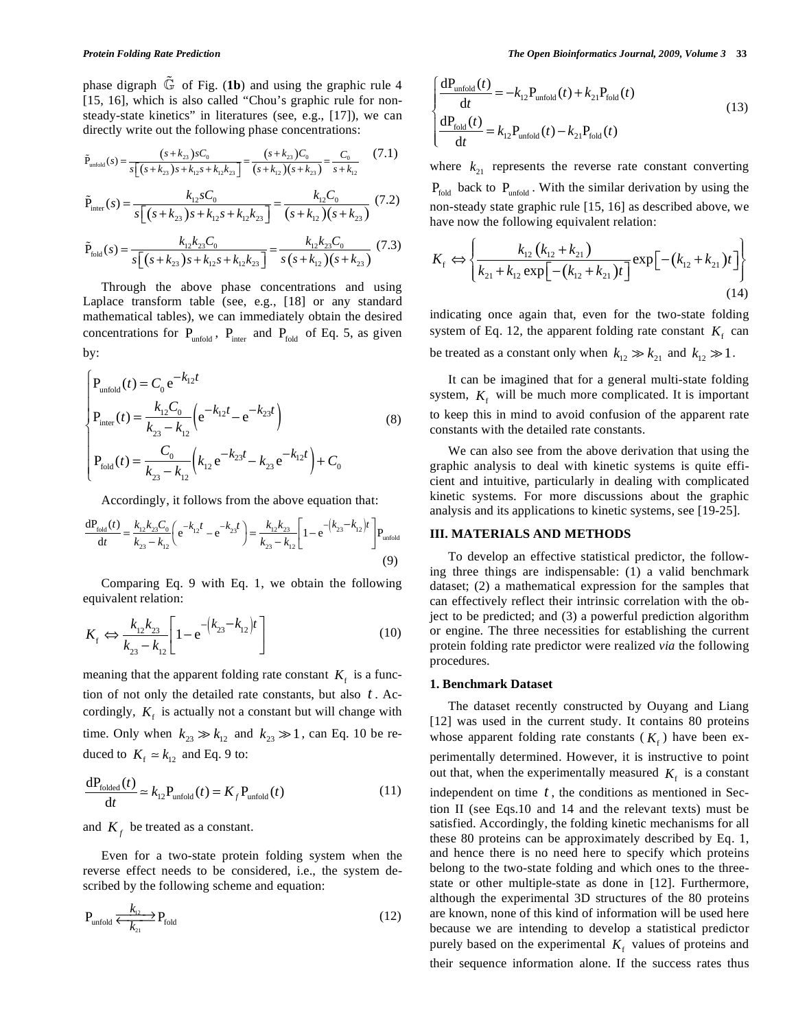phase digraph  $\tilde{G}$  of Fig. (1b) and using the graphic rule 4 [15, 16], which is also called "Chou's graphic rule for nonsteady-state kinetics" in literatures (see, e.g., [17]), we can directly write out the following phase concentrations:

$$
\tilde{P}_{\text{unfold}}(s) = \frac{(s + k_{23})sC_0}{s\left[\left(s + k_{23}\right)s + k_{12}s + k_{12}k_{23}\right]} = \frac{(s + k_{23})C_0}{(s + k_{12})(s + k_{23})} = \frac{C_0}{s + k_{12}}\tag{7.1}
$$

$$
\tilde{P}_{\text{inter}}(s) = \frac{k_{12} s C_0}{s \left[ \left( s + k_{23} \right) s + k_{12} s + k_{12} k_{23} \right]} = \frac{k_{12} C_0}{\left( s + k_{12} \right) \left( s + k_{23} \right)} \tag{7.2}
$$

$$
\tilde{P}_{\text{fold}}(s) = \frac{k_{12}k_{23}C_0}{s\left[\left(s + k_{23}\right)s + k_{12}s + k_{12}k_{23}\right]} = \frac{k_{12}k_{23}C_0}{s\left(s + k_{12}\right)\left(s + k_{23}\right)}\tag{7.3}
$$

 Through the above phase concentrations and using Laplace transform table (see, e.g., [18] or any standard mathematical tables), we can immediately obtain the desired concentrations for  $P_{unfold}$ ,  $P_{inter}$  and  $P_{fold}$  of Eq. 5, as given by:

$$
\begin{cases}\nP_{\text{unfold}}(t) = C_0 e^{-k_{12}t} \\
P_{\text{inter}}(t) = \frac{k_{12}C_0}{k_{23} - k_{12}} \left( e^{-k_{12}t} - e^{-k_{23}t} \right) \\
P_{\text{fold}}(t) = \frac{C_0}{k_{23} - k_{12}} \left( k_{12} e^{-k_{23}t} - k_{23} e^{-k_{12}t} \right) + C_0\n\end{cases}
$$
\n(8)

Accordingly, it follows from the above equation that:

$$
\frac{dP_{\text{fold}}(t)}{dt} = \frac{k_{12}k_{23}C_0}{k_{23} - k_{12}} \left( e^{-k_{12}t} - e^{-k_{23}t} \right) = \frac{k_{12}k_{23}}{k_{23} - k_{12}} \left[ 1 - e^{-\left(k_{23} - k_{12}\right)t} \right] P_{\text{unfold}} \tag{9}
$$

 Comparing Eq. 9 with Eq. 1, we obtain the following equivalent relation:

$$
K_{\rm f} \Leftrightarrow \frac{k_{12}k_{23}}{k_{23} - k_{12}} \left[ 1 - e^{-\left(k_{23} - k_{12}\right)t} \right] \tag{10}
$$

meaning that the apparent folding rate constant  $K_f$  is a function of not only the detailed rate constants, but also *t* . Accordingly,  $K_f$  is actually not a constant but will change with time. Only when  $k_{23} \gg k_{12}$  and  $k_{23} \gg 1$ , can Eq. 10 be reduced to  $K_f \simeq k_{12}$  and Eq. 9 to:

$$
\frac{dP_{\text{folded}}(t)}{dt} \simeq k_{12} P_{\text{unfold}}(t) = K_f P_{\text{unfold}}(t)
$$
 (11)

and  $K_f$  be treated as a constant.

 Even for a two-state protein folding system when the reverse effect needs to be considered, i.e., the system described by the following scheme and equation:

$$
P_{\text{unfold}} \xleftarrow{k_{12}} P_{\text{fold}} \tag{12}
$$

$$
\begin{cases}\n\frac{dP_{\text{unfold}}(t)}{dt} = -k_{12}P_{\text{unfold}}(t) + k_{21}P_{\text{fold}}(t) \\
\frac{dP_{\text{fold}}(t)}{dt} = k_{12}P_{\text{unfold}}(t) - k_{21}P_{\text{fold}}(t)\n\end{cases}
$$
\n(13)

where  $k_{21}$  represents the reverse rate constant converting  $P_{\text{fold}}$  back to  $P_{\text{unfold}}$ . With the similar derivation by using the non-steady state graphic rule [15, 16] as described above, we have now the following equivalent relation:

$$
K_{\rm f} \Leftrightarrow \left\{ \frac{k_{12} (k_{12} + k_{21})}{k_{21} + k_{12} \exp[-(k_{12} + k_{21})t]} \exp[-(k_{12} + k_{21})t] \right\}
$$
(14)

indicating once again that, even for the two-state folding system of Eq. 12, the apparent folding rate constant  $K_f$  can be treated as a constant only when  $k_{12} \gg k_{21}$  and  $k_{12} \gg 1$ .

 It can be imagined that for a general multi-state folding system,  $K_f$  will be much more complicated. It is important to keep this in mind to avoid confusion of the apparent rate constants with the detailed rate constants.

 We can also see from the above derivation that using the graphic analysis to deal with kinetic systems is quite efficient and intuitive, particularly in dealing with complicated kinetic systems. For more discussions about the graphic analysis and its applications to kinetic systems, see [19-25].

## **III. MATERIALS AND METHODS**

 To develop an effective statistical predictor, the following three things are indispensable: (1) a valid benchmark dataset; (2) a mathematical expression for the samples that can effectively reflect their intrinsic correlation with the object to be predicted; and (3) a powerful prediction algorithm or engine. The three necessities for establishing the current protein folding rate predictor were realized *via* the following procedures.

#### **1. Benchmark Dataset**

 The dataset recently constructed by Ouyang and Liang [12] was used in the current study. It contains 80 proteins whose apparent folding rate constants  $(K_f)$  have been experimentally determined. However, it is instructive to point out that, when the experimentally measured  $K_f$  is a constant

independent on time *t* , the conditions as mentioned in Section II (see Eqs.10 and 14 and the relevant texts) must be satisfied. Accordingly, the folding kinetic mechanisms for all these 80 proteins can be approximately described by Eq. 1, and hence there is no need here to specify which proteins belong to the two-state folding and which ones to the threestate or other multiple-state as done in [12]. Furthermore, although the experimental 3D structures of the 80 proteins are known, none of this kind of information will be used here because we are intending to develop a statistical predictor purely based on the experimental  $K_f$  values of proteins and their sequence information alone. If the success rates thus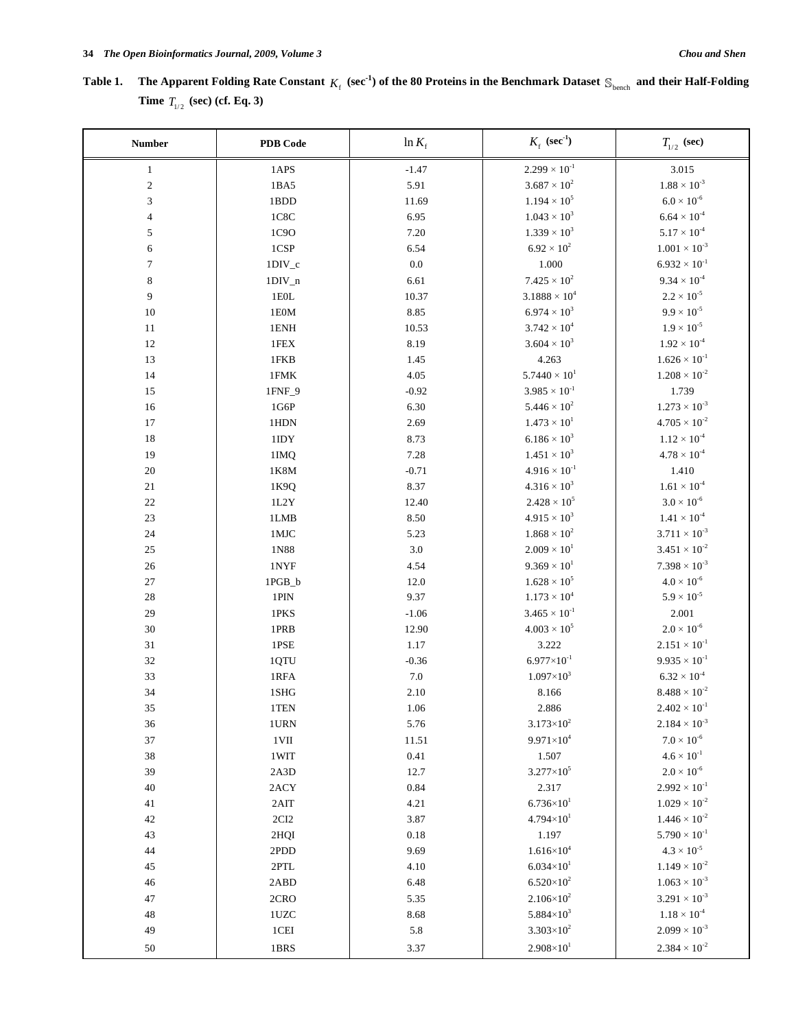# Table 1. The Apparent Folding Rate Constant  $K_f$  (sec<sup>-1</sup>) of the 80 Proteins in the Benchmark Dataset  $S_{\text{bench}}$  and their Half-Folding **Time**  $T_{1/2}$  (sec) (cf. Eq. 3)

| <b>Number</b> | PDB Code                     | $ln K_f$ | $K_f$ (sec <sup>-1</sup> )  | $T_{1/2}$ (sec)             |
|---------------|------------------------------|----------|-----------------------------|-----------------------------|
| $\mathbf{1}$  | 1APS                         | $-1.47$  | $2.299 \times 10^{-1}$      | 3.015                       |
| $\sqrt{2}$    | 1BA5                         | 5.91     | $3.687 \times 10^{2}$       | $1.88 \times 10^{-3}$       |
| 3             | 1BDD                         | 11.69    | $1.194 \times 10^{5}$       | $6.0\times10^{\text{-}6}$   |
| 4             | 1C8C                         | 6.95     | $1.043 \times 10^{3}$       | $6.64 \times 10^{-4}$       |
| 5             | 1C9O                         | 7.20     | $1.339 \times 10^{3}$       | $5.17\times10^{\text{-}4}$  |
| 6             | 1CSP                         | 6.54     | $6.92 \times 10^{2}$        | $1.001 \times 10^{-3}$      |
| $\tau$        | $1DIV_c$                     | $0.0\,$  | 1.000                       | $6.932\times10^{\text{-}1}$ |
| 8             | $1DIV_n$                     | 6.61     | $7.425 \times 10^{2}$       | $9.34 \times 10^{-4}$       |
| 9             | $1\mathrm{EOL}$              | 10.37    | $3.1888 \times 10^{4}$      | $2.2 \times 10^{-5}$        |
| 10            | 1E0M                         | 8.85     | $6.974 \times 10^{3}$       | $9.9 \times 10^{-5}$        |
| 11            | 1ENH                         | 10.53    | $3.742 \times 10^{4}$       | $1.9 \times 10^{-5}$        |
| 12            | 1FEX                         | 8.19     | $3.604 \times 10^{3}$       | $1.92 \times 10^{-4}$       |
| 13            | 1FKB                         | 1.45     | 4.263                       | $1.626 \times 10^{-1}$      |
| 14            | 1FMK                         | 4.05     | $5.7440 \times 10^{1}$      | $1.208 \times 10^{-2}$      |
| 15            | 1FNF_9                       | $-0.92$  | $3.985 \times 10^{-1}$      | 1.739                       |
| 16            | 1G6P                         | 6.30     | $5.446 \times 10^{2}$       | $1.273 \times 10^{-3}$      |
| 17            | 1HDN                         | 2.69     | $1.473 \times 10^{1}$       | $4.705 \times 10^{-2}$      |
| 18            | $1\mathrm{IDY}$              | 8.73     | $6.186 \times 10^{3}$       | $1.12 \times 10^{-4}$       |
| 19            | 1IMQ                         | 7.28     | $1.451 \times 10^{3}$       | $4.78 \times 10^{-4}$       |
| 20            | 1K8M                         | $-0.71$  | $4.916\times10^{\text{-}1}$ | 1.410                       |
| 21            | 1K9Q                         | 8.37     | $4.316 \times 10^{3}$       | $1.61 \times 10^{-4}$       |
| 22            | $1L2Y$                       | 12.40    | $2.428 \times 10^{5}$       | $3.0\times10^{\text{-}6}$   |
| 23            | 1LMB                         | 8.50     | $4.915 \times 10^{3}$       | $1.41 \times 10^{-4}$       |
| 24            | $1\mathrm{MJC}$              | 5.23     | $1.868\times10^{2}$         | $3.711 \times 10^{-3}$      |
| 25            | 1N88                         | 3.0      | $2.009 \times 10^{1}$       | $3.451 \times 10^{-2}$      |
| $26\,$        | 1NYF                         | 4.54     | $9.369 \times 10^{1}$       | $7.398 \times 10^{-3}$      |
| $27\,$        | 1PGB_b                       | 12.0     | $1.628 \times 10^{5}$       | $4.0\times10^{\text{-}6}$   |
| 28            | 1PIN                         | 9.37     | $1.173 \times 10^{4}$       | $5.9\times10^{\text{-}5}$   |
| 29            | 1PKS                         | $-1.06$  | $3.465 \times 10^{-1}$      | 2.001                       |
| 30            | 1PRB                         | 12.90    | $4.003 \times 10^{5}$       | $2.0\times10^{\text{-}6}$   |
| 31            | $1\mathrm{PSE}$              | 1.17     | 3.222                       | $2.151 \times 10^{-1}$      |
| 32            | 1QTU                         | $-0.36$  | $6.977\times10^{-1}$        | $9.935 \times 10^{-1}$      |
| 33            | $1\mathrm{RFA}$              | $7.0\,$  | $1.097\times10^{3}$         | $6.32 \times 10^{-4}$       |
| 34            | 1SHG                         | 2.10     | 8.166                       | $8.488\times10^{\text{-}2}$ |
| $35\,$        | $1\mathrm{TEN}$              | 1.06     | 2.886                       | $2.402 \times 10^{-1}$      |
| 36            | 1URN                         | 5.76     | $3.173 \times 10^{2}$       | $2.184\times10^{\text{-}3}$ |
| 37            | $1$ VII                      | 11.51    | $9.971 \times 10^{4}$       | $7.0 \times 10^{-6}$        |
| 38            | 1WIT                         | 0.41     | 1.507                       | $4.6 \times 10^{-1}$        |
| 39            | 2A3D                         | 12.7     | $3.277 \times 10^5$         | $2.0 \times 10^{-6}$        |
| $40\,$        | 2ACY                         | 0.84     | 2.317                       | $2.992\times10^{\text{-}1}$ |
| 41            | 2AIT                         | 4.21     | $6.736\times10^{1}$         | $1.029 \times 10^{-2}$      |
| 42            | $2\mathrm{CI}2$              | 3.87     | $4.794 \times 10^{1}$       | $1.446 \times 10^{-2}$      |
| 43            | 2HQI                         | $0.18\,$ | 1.197                       | $5.790 \times 10^{-1}$      |
| 44            | 2PDD                         | 9.69     | $1.616\times10^4$           | $4.3\times10^{\text{-}5}$   |
| 45            | $2\ensuremath{\mathrm{PTL}}$ | 4.10     | $6.034\times10^{1}$         | $1.149\times10^{\text{-}2}$ |
| 46            | 2ABD                         | 6.48     | $6.520\times10^{2}$         | $1.063 \times 10^{-3}$      |
| $47\,$        | 2CRO                         | 5.35     | $2.106 \times 10^{2}$       | $3.291 \times 10^{-3}$      |
| 48            | $1UZC$                       | 8.68     | $5.884\times10^{3}$         | $1.18 \times 10^{-4}$       |
| 49            | $1{\rm CEI}$                 | 5.8      | $3.303 \times 10^{2}$       | $2.099 \times 10^{-3}$      |
| 50            | 1BRS                         | 3.37     | $2.908 \times 10^{1}$       | $2.384 \times 10^{-2}$      |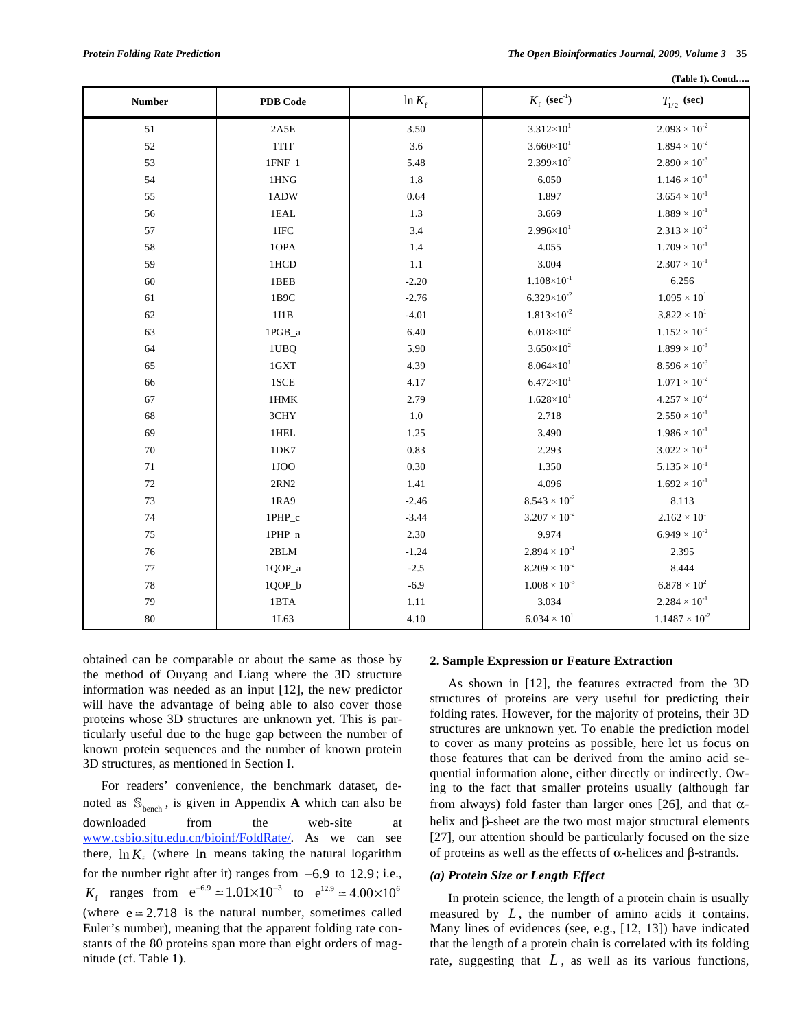**(Table 1). Contd…..** 

| <b>Number</b> | PDB Code        | $\ln K_f$ | $K_{\rm f}$ (sec <sup>-1</sup> ) | $T_{1/2}$ (sec)              |
|---------------|-----------------|-----------|----------------------------------|------------------------------|
| $51\,$        | $2A5E$          | 3.50      | $3.312 \times 10^{1}$            | $2.093 \times 10^{-2}$       |
| 52            | 1TIT            | 3.6       | $3.660\times10^{1}$              | $1.894 \times 10^{-2}$       |
| 53            | $1$ FNF $_1$    | 5.48      | $2.399\times10^{2}$              | $2.890 \times 10^{-3}$       |
| 54            | $1HNG$          | 1.8       | 6.050                            | $1.146 \times 10^{-1}$       |
| 55            | 1ADW            | 0.64      | 1.897                            | $3.654 \times 10^{-1}$       |
| 56            | 1EAL            | 1.3       | 3.669                            | $1.889 \times 10^{-1}$       |
| 57            | $1\mathrm{IFC}$ | 3.4       | $2.996 \times 10^{1}$            | $2.313 \times 10^{-2}$       |
| 58            | 1OPA            | 1.4       | 4.055                            | $1.709 \times 10^{-1}$       |
| 59            | 1HCD            | $1.1\,$   | 3.004                            | $2.307 \times 10^{-1}$       |
| 60            | 1BEB            | $-2.20$   | $1.108\times10^{\text{-}1}$      | 6.256                        |
| 61            | 1B9C            | $-2.76$   | $6.329\times10^{-2}$             | $1.095 \times 10^{1}$        |
| 62            | 1I1B            | $-4.01$   | $1.813 \times 10^{-2}$           | $3.822 \times 10^{1}$        |
| 63            | $1{\rm PGB\_a}$ | 6.40      | $6.018\times10^{2}$              | $1.152 \times 10^{-3}$       |
| 64            | 1UBQ            | 5.90      | $3.650\times10^{2}$              | $1.899 \times 10^{-3}$       |
| 65            | 1GXT            | 4.39      | $8.064\times10^{1}$              | $8.596 \times 10^{-3}$       |
| 66            | 1SCE            | 4.17      | $6.472\times10^{1}$              | $1.071 \times 10^{-2}$       |
| 67            | $1\mathrm{HMK}$ | 2.79      | $1.628 \times 10^{1}$            | $4.257 \times 10^{-2}$       |
| 68            | 3CHY            | 1.0       | 2.718                            | $2.550 \times 10^{-1}$       |
| 69            | 1HEL            | 1.25      | 3.490                            | $1.986 \times 10^{-1}$       |
| $70\,$        | 1DK7            | 0.83      | 2.293                            | $3.022 \times 10^{-1}$       |
| 71            | 1JOO            | 0.30      | 1.350                            | $5.135 \times 10^{-1}$       |
| $72\,$        | $2\mathrm{RN}2$ | 1.41      | 4.096                            | $1.692 \times 10^{-1}$       |
| 73            | 1RA9            | $-2.46$   | $8.543\times10^{\text{-2}}$      | 8.113                        |
| 74            | 1PHP_c          | $-3.44$   | $3.207 \times 10^{-2}$           | $2.162 \times 10^{1}$        |
| 75            | 1PHP_n          | 2.30      | 9.974                            | $6.949 \times 10^{-2}$       |
| $76\,$        | $2{\rm BLM}$    | $-1.24$   | $2.894 \times 10^{-1}$           | 2.395                        |
| 77            | 1QOP_a          | $-2.5$    | $8.209 \times 10^{-2}$           | 8.444                        |
| 78            | $1QOP_b$        | $-6.9$    | $1.008 \times 10^{-3}$           | $6.878 \times 10^{2}$        |
| 79            | 1BTA            | $1.11\,$  | 3.034                            | $2.284\times10^{\text{-}1}$  |
| $80\,$        | 1L63            | 4.10      | $6.034 \times 10^{1}$            | $1.1487\times10^{\text{-}2}$ |

obtained can be comparable or about the same as those by the method of Ouyang and Liang where the 3D structure information was needed as an input [12], the new predictor will have the advantage of being able to also cover those proteins whose 3D structures are unknown yet. This is particularly useful due to the huge gap between the number of known protein sequences and the number of known protein 3D structures, as mentioned in Section I.

 For readers' convenience, the benchmark dataset, denoted as  $\mathbb{S}_{\text{hench}}$ , is given in Appendix **A** which can also be downloaded from the web-site at www.csbio.sjtu.edu.cn/bioinf/FoldRate/. As we can see there,  $\ln K_f$  (where  $\ln$  means taking the natural logarithm for the number right after it) ranges from  $-6.9$  to  $12.9$ ; i.e.,  $K_f$  ranges from  $e^{-6.9} \approx 1.01 \times 10^{-3}$  to  $e^{12.9} \approx 4.00 \times 10^6$ (where  $e \approx 2.718$  is the natural number, sometimes called Euler's number), meaning that the apparent folding rate constants of the 80 proteins span more than eight orders of magnitude (cf. Table **1**).

#### **2. Sample Expression or Feature Extraction**

 As shown in [12], the features extracted from the 3D structures of proteins are very useful for predicting their folding rates. However, for the majority of proteins, their 3D structures are unknown yet. To enable the prediction model to cover as many proteins as possible, here let us focus on those features that can be derived from the amino acid sequential information alone, either directly or indirectly. Owing to the fact that smaller proteins usually (although far from always) fold faster than larger ones [26], and that  $\alpha$ helix and  $\beta$ -sheet are the two most major structural elements [27], our attention should be particularly focused on the size of proteins as well as the effects of  $\alpha$ -helices and  $\beta$ -strands.

## *(a) Protein Size or Length Effect*

 In protein science, the length of a protein chain is usually measured by *L*, the number of amino acids it contains. Many lines of evidences (see, e.g., [12, 13]) have indicated that the length of a protein chain is correlated with its folding rate, suggesting that  $L$ , as well as its various functions,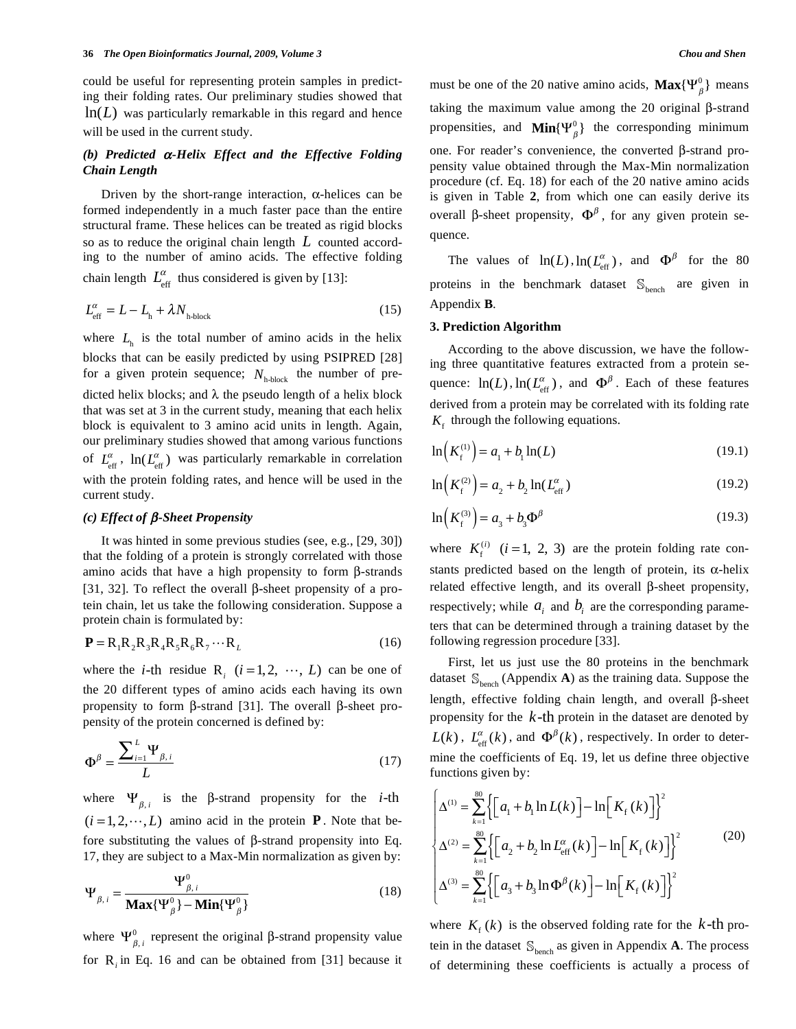could be useful for representing protein samples in predicting their folding rates. Our preliminary studies showed that  $ln(L)$  was particularly remarkable in this regard and hence will be used in the current study.

# *(b) Predicted -Helix Effect and the Effective Folding Chain Length*

Driven by the short-range interaction,  $\alpha$ -helices can be formed independently in a much faster pace than the entire structural frame. These helices can be treated as rigid blocks so as to reduce the original chain length *L* counted according to the number of amino acids. The effective folding chain length  $L_{\text{eff}}^{\alpha}$  thus considered is given by [13]:

$$
L_{\text{eff}}^{\alpha} = L - L_{\text{h}} + \lambda N_{\text{h-block}} \tag{15}
$$

where  $L<sub>h</sub>$  is the total number of amino acids in the helix blocks that can be easily predicted by using PSIPRED [28] for a given protein sequence;  $N_{h\text{-block}}$  the number of predicted helix blocks; and  $\lambda$  the pseudo length of a helix block that was set at 3 in the current study, meaning that each helix block is equivalent to 3 amino acid units in length. Again, our preliminary studies showed that among various functions of  $L_{\text{eff}}^{\alpha}$ ,  $\ln(L_{\text{eff}}^{\alpha})$  was particularly remarkable in correlation with the protein folding rates, and hence will be used in the current study.

#### *(c) Effect of β*-*Sheet Propensity*

 It was hinted in some previous studies (see, e.g., [29, 30]) that the folding of a protein is strongly correlated with those amino acids that have a high propensity to form  $\beta$ -strands [31, 32]. To reflect the overall  $\beta$ -sheet propensity of a protein chain, let us take the following consideration. Suppose a protein chain is formulated by:

$$
\mathbf{P} = \mathbf{R}_1 \mathbf{R}_2 \mathbf{R}_3 \mathbf{R}_4 \mathbf{R}_5 \mathbf{R}_6 \mathbf{R}_7 \cdots \mathbf{R}_L
$$
 (16)

where the *i*-th residue R<sub>*i*</sub>  $(i=1, 2, \dots, L)$  can be one of the 20 different types of amino acids each having its own propensity to form  $\beta$ -strand [31]. The overall  $\beta$ -sheet propensity of the protein concerned is defined by:

$$
\Phi^{\beta} = \frac{\sum_{i=1}^{L} \Psi_{\beta, i}}{L} \tag{17}
$$

where  $\Psi_{\beta,i}$  is the  $\beta$ -strand propensity for the *i*-th  $(i = 1, 2, \dots, L)$  amino acid in the protein **P**. Note that before substituting the values of  $\beta$ -strand propensity into Eq. 17, they are subject to a Max-Min normalization as given by:

$$
\Psi_{\beta,i} = \frac{\Psi_{\beta,i}^0}{\text{Max}\{\Psi_{\beta}^0\} - \text{Min}\{\Psi_{\beta}^0\}}
$$
(18)

where  $\Psi_{\beta,i}^0$  represent the original  $\beta$ -strand propensity value for R*<sup>i</sup>* in Eq. 16 and can be obtained from [31] because it

must be one of the 20 native amino acids,  $\mathbf{Max}\{\Psi_{\beta}^0\}$  means taking the maximum value among the 20 original  $\beta$ -strand propensities, and  $\text{Min}\{\Psi_{\beta}^{0}\}\$  the corresponding minimum one. For reader's convenience, the converted  $\beta$ -strand propensity value obtained through the Max-Min normalization procedure (cf. Eq. 18) for each of the 20 native amino acids is given in Table **2**, from which one can easily derive its overall  $\beta$ -sheet propensity,  $\Phi^{\beta}$ , for any given protein sequence.

The values of  $ln(L)$ ,  $ln(L_{\text{eff}}^{\alpha})$ , and  $\Phi^{\beta}$  for the 80 proteins in the benchmark dataset  $\mathbb{S}_{\text{bench}}$  are given in Appendix **B**.

## **3. Prediction Algorithm**

 According to the above discussion, we have the following three quantitative features extracted from a protein sequence:  $\ln(L)$ ,  $\ln(L_{\text{eff}}^{\alpha})$ , and  $\Phi^{\beta}$ . Each of these features derived from a protein may be correlated with its folding rate  $K<sub>f</sub>$  through the following equations.

$$
\ln\left(K_f^{(1)}\right) = a_1 + b_1 \ln(L) \tag{19.1}
$$

$$
\ln\left(K_{\rm f}^{(2)}\right) = a_2 + b_2 \ln(L_{\rm eff}^{\alpha})\tag{19.2}
$$

$$
\ln\left(K_{\rm f}^{(3)}\right) = a_3 + b_3 \Phi^{\beta} \tag{19.3}
$$

where  $K_f^{(i)}$   $(i = 1, 2, 3)$  are the protein folding rate constants predicted based on the length of protein, its  $\alpha$ -helix related effective length, and its overall  $\beta$ -sheet propensity, respectively; while  $a_i$  and  $b_i$  are the corresponding parameters that can be determined through a training dataset by the following regression procedure [33].

 First, let us just use the 80 proteins in the benchmark dataset  $\mathbb{S}_{\text{hench}}$  (Appendix **A**) as the training data. Suppose the length, effective folding chain length, and overall  $\beta$ -sheet propensity for the *k*-th protein in the dataset are denoted by  $L(k)$ ,  $L_{\text{eff}}^{\alpha}(k)$ , and  $\Phi^{\beta}(k)$ , respectively. In order to determine the coefficients of Eq. 19, let us define three objective functions given by:

$$
\begin{cases}\n\Delta^{(1)} = \sum_{k=1}^{80} \left\{ \left[ a_1 + b_1 \ln L(k) \right] - \ln \left[ K_f(k) \right] \right\}^2 \\
\Delta^{(2)} = \sum_{k=1}^{80} \left\{ \left[ a_2 + b_2 \ln L_{\text{eff}}^{\alpha}(k) \right] - \ln \left[ K_f(k) \right] \right\}^2 \\
\Delta^{(3)} = \sum_{k=1}^{80} \left\{ \left[ a_3 + b_3 \ln \Phi^{\beta}(k) \right] - \ln \left[ K_f(k) \right] \right\}^2\n\end{cases} (20)
$$

where  $K_f(k)$  is the observed folding rate for the  $k$ -th protein in the dataset  $\mathcal{S}_{\text{bench}}$  as given in Appendix **A**. The process of determining these coefficients is actually a process of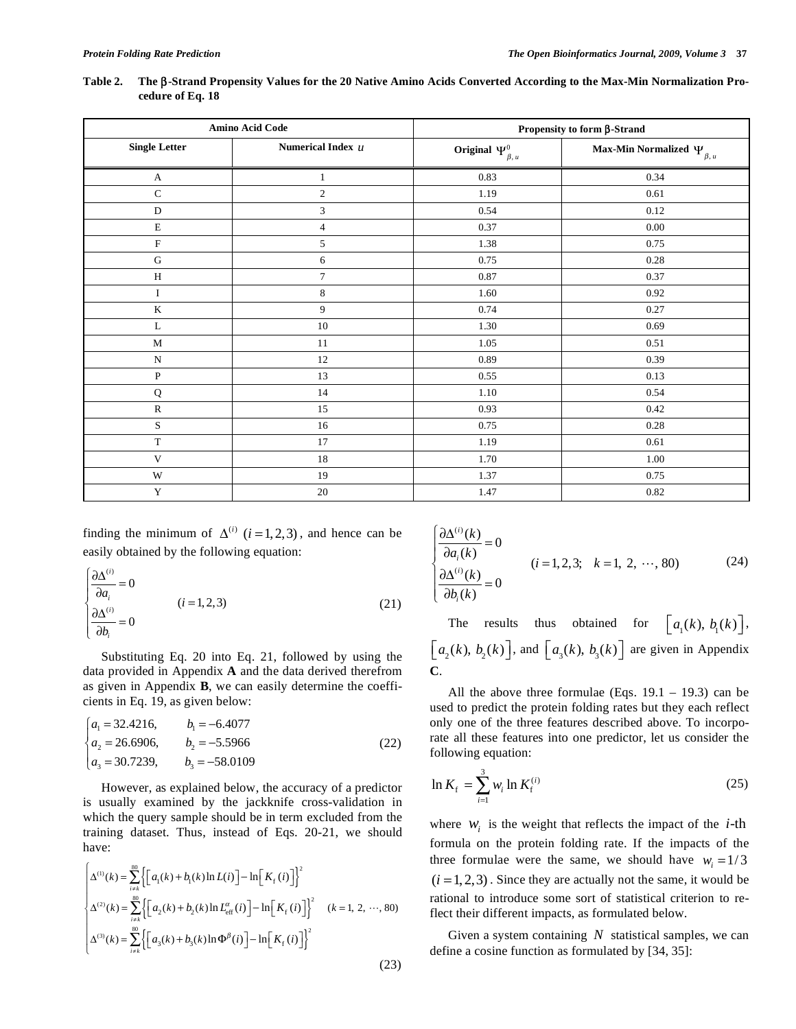| Table 2. The $\beta$ -Strand Propensity Values for the 20 Native Amino Acids Converted According to the Max-Min Normalization Pro- |
|------------------------------------------------------------------------------------------------------------------------------------|
| cedure of Eq. 18                                                                                                                   |

|                      | Amino Acid Code     | Propensity to form $\beta$ -Strand |                                       |  |
|----------------------|---------------------|------------------------------------|---------------------------------------|--|
| <b>Single Letter</b> | Numerical Index $u$ | Original $\Psi_{\beta,\,u}^0$      | Max-Min Normalized $\Psi_{\beta,\mu}$ |  |
| $\mathbf{A}$         | $\mathbf{1}$        | 0.83                               | 0.34                                  |  |
| $\mathbf C$          | $\boldsymbol{2}$    | 1.19                               | 0.61                                  |  |
| ${\bf D}$            | 3                   | 0.54                               | 0.12                                  |  |
| $\mathbf E$          | $\overline{4}$      | 0.37                               | $0.00\,$                              |  |
| ${\bf F}$            | 5                   | 1.38                               | 0.75                                  |  |
| ${\bf G}$            | 6                   | 0.75                               | 0.28                                  |  |
| $\, {\rm H}$         | $\overline{7}$      | 0.87                               | 0.37                                  |  |
| $\rm I$              | $\,8\,$             | 1.60                               | 0.92                                  |  |
| $\bf K$              | 9                   | 0.74                               | 0.27                                  |  |
| L                    | $10\,$              | 1.30                               | 0.69                                  |  |
| M                    | 11                  | 1.05                               | 0.51                                  |  |
| ${\bf N}$            | 12                  | 0.89                               | 0.39                                  |  |
| ${\bf P}$            | 13                  | 0.55                               | 0.13                                  |  |
| ${\bf Q}$            | 14                  | 1.10                               | 0.54                                  |  |
| ${\bf R}$            | 15                  | 0.93                               | 0.42                                  |  |
| $\mathbf S$          | 16                  | 0.75                               | 0.28                                  |  |
| $\mathbf T$          | 17                  | 1.19                               | 0.61                                  |  |
| $\mathbf V$          | 18                  | 1.70                               | 1.00                                  |  |
| W                    | 19                  | 1.37                               | 0.75                                  |  |
| $\mathbf Y$          | 20                  | 1.47                               | 0.82                                  |  |

finding the minimum of  $\Delta^{(i)}$  ( $i = 1, 2, 3$ ), and hence can be easily obtained by the following equation:

$$
\begin{cases}\n\frac{\partial \Delta^{(i)}}{\partial a_i} = 0 \\
\frac{\partial \Delta^{(i)}}{\partial b_i} = 0\n\end{cases}
$$
\n $(i = 1, 2, 3)$ \n(21)

 Substituting Eq. 20 into Eq. 21, followed by using the data provided in Appendix **A** and the data derived therefrom as given in Appendix **B**, we can easily determine the coefficients in Eq. 19, as given below:

$$
\begin{cases}\na_1 = 32.4216, & b_1 = -6.4077 \\
a_2 = 26.6906, & b_2 = -5.5966 \\
a_3 = 30.7239, & b_3 = -58.0109\n\end{cases}
$$
\n(22)

 However, as explained below, the accuracy of a predictor is usually examined by the jackknife cross-validation in which the query sample should be in term excluded from the training dataset. Thus, instead of Eqs. 20-21, we should have:

$$
\begin{cases}\n\Delta^{(1)}(k) = \sum_{i=1}^{\infty} \left\{ \left[ a_1(k) + b_1(k) \ln L(i) \right] - \ln \left[ K_f(i) \right] \right\}^2 \\
\Delta^{(2)}(k) = \sum_{i=1}^{\infty} \left\{ \left[ a_2(k) + b_2(k) \ln L_{\text{eff}}^{\alpha}(i) \right] - \ln \left[ K_f(i) \right] \right\}^2 \quad (k = 1, 2, \dots, 80) \\
\Delta^{(3)}(k) = \sum_{i=1}^{\infty} \left\{ \left[ a_3(k) + b_3(k) \ln \Phi^{\beta}(i) \right] - \ln \left[ K_f(i) \right] \right\}^2\n\end{cases} \tag{23}
$$

$$
\begin{cases}\n\frac{\partial \Delta^{(i)}(k)}{\partial a_i(k)} = 0 \\
\frac{\partial \Delta^{(i)}(k)}{\partial b_i(k)} = 0\n\end{cases}
$$
\n $(i = 1, 2, 3; k = 1, 2, \cdots, 80)$ \n(24)

The results thus obtained for  $\lfloor a_1(k), b_1(k) \rfloor$ ,  $\left[ a_2(k), b_2(k) \right]$ , and  $\left[ a_3(k), b_3(k) \right]$  are given in Appendix **C**.

All the above three formulae (Eqs.  $19.1 - 19.3$ ) can be used to predict the protein folding rates but they each reflect only one of the three features described above. To incorporate all these features into one predictor, let us consider the following equation:

$$
\ln K_{\rm f} = \sum_{i=1}^{3} w_i \ln K_{\rm f}^{(i)} \tag{25}
$$

where  $W_i$  is the weight that reflects the impact of the *i*-th formula on the protein folding rate. If the impacts of the three formulae were the same, we should have  $w_i = 1/3$  $(i = 1, 2, 3)$ . Since they are actually not the same, it would be rational to introduce some sort of statistical criterion to reflect their different impacts, as formulated below.

 Given a system containing *N* statistical samples, we can define a cosine function as formulated by [34, 35]: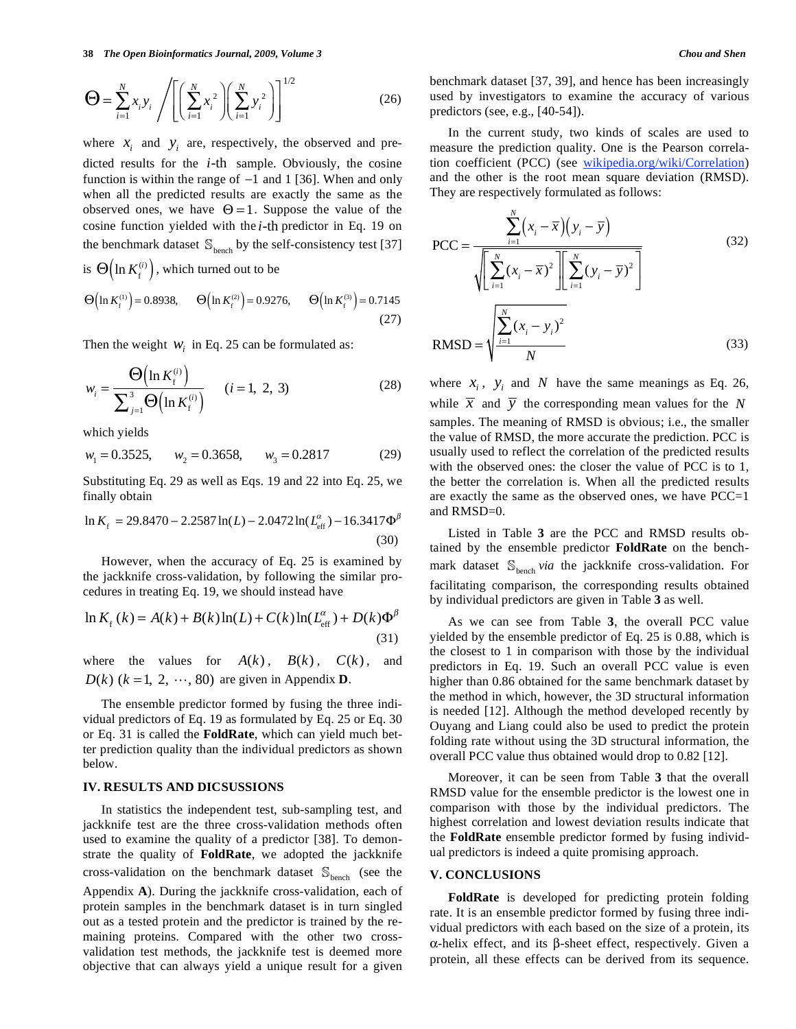$$
\mathbf{\Theta} = \sum_{i=1}^{N} x_i y_i \left/ \left[ \left( \sum_{i=1}^{N} x_i^2 \right) \left( \sum_{i=1}^{N} y_i^2 \right) \right]^{1/2} \right] \tag{26}
$$

where  $x_i$  and  $y_i$  are, respectively, the observed and predicted results for the *i*-th sample. Obviously, the cosine function is within the range of  $-1$  and 1 [36]. When and only when all the predicted results are exactly the same as the observed ones, we have  $\Theta = 1$ . Suppose the value of the cosine function yielded with the *i*-th predictor in Eq. 19 on the benchmark dataset  $\mathcal{S}_{\text{bench}}$  by the self-consistency test [37] is  $\Theta\left(\ln K_f^{(i)}\right)$ , which turned out to be

$$
\Theta\left(\ln K_f^{(1)}\right) = 0.8938, \qquad \Theta\left(\ln K_f^{(2)}\right) = 0.9276, \qquad \Theta\left(\ln K_f^{(3)}\right) = 0.7145
$$
\n(27)

Then the weight  $W_i$  in Eq. 25 can be formulated as:

$$
w_i = \frac{\Theta\left(\ln K_i^{(i)}\right)}{\sum_{j=1}^3 \Theta\left(\ln K_i^{(i)}\right)} \qquad (i = 1, 2, 3)
$$
 (28)

which yields

$$
w_1 = 0.3525
$$
,  $w_2 = 0.3658$ ,  $w_3 = 0.2817$  (29)

Substituting Eq. 29 as well as Eqs. 19 and 22 into Eq. 25, we finally obtain

$$
\ln K_{\rm f} = 29.8470 - 2.2587 \ln(L) - 2.0472 \ln(L_{\rm eff}^{\alpha}) - 16.3417 \Phi^{\beta}
$$
\n(30)

 However, when the accuracy of Eq. 25 is examined by the jackknife cross-validation, by following the similar procedures in treating Eq. 19, we should instead have

$$
\ln K_{\rm f}(k) = A(k) + B(k)\ln(L) + C(k)\ln(L_{\rm eff}^{\alpha}) + D(k)\Phi^{\beta}
$$
\n(31)

where the values for  $A(k)$ ,  $B(k)$ ,  $C(k)$ , and  $D(k)$  ( $k = 1, 2, \dots, 80$ ) are given in Appendix **D**.

 The ensemble predictor formed by fusing the three individual predictors of Eq. 19 as formulated by Eq. 25 or Eq. 30 or Eq. 31 is called the **FoldRate**, which can yield much better prediction quality than the individual predictors as shown below.

# **IV. RESULTS AND DICSUSSIONS**

 In statistics the independent test, sub-sampling test, and jackknife test are the three cross-validation methods often used to examine the quality of a predictor [38]. To demonstrate the quality of **FoldRate**, we adopted the jackknife cross-validation on the benchmark dataset  $\ \mathbb{S}_{\text{bench}}\ \ (see\ \ the$ Appendix **A**). During the jackknife cross-validation, each of protein samples in the benchmark dataset is in turn singled out as a tested protein and the predictor is trained by the remaining proteins. Compared with the other two crossvalidation test methods, the jackknife test is deemed more objective that can always yield a unique result for a given benchmark dataset [37, 39], and hence has been increasingly used by investigators to examine the accuracy of various predictors (see, e.g., [40-54]).

 In the current study, two kinds of scales are used to measure the prediction quality. One is the Pearson correlation coefficient (PCC) (see wikipedia.org/wiki/Correlation) and the other is the root mean square deviation (RMSD). They are respectively formulated as follows:

$$
PCC = \frac{\sum_{i=1}^{N} (x_i - \overline{x})(y_i - \overline{y})}{\sqrt{\left[\sum_{i=1}^{N} (x_i - \overline{x})^2\right] \left[\sum_{i=1}^{N} (y_i - \overline{y})^2\right]}}
$$
(32)  
RMSD =  $\sqrt{\frac{\sum_{i=1}^{N} (x_i - y_i)^2}{N}}$  (33)

where  $x_i$ ,  $y_i$  and *N* have the same meanings as Eq. 26, while  $\overline{x}$  and  $\overline{y}$  the corresponding mean values for the *N* samples. The meaning of RMSD is obvious; i.e., the smaller the value of RMSD, the more accurate the prediction. PCC is usually used to reflect the correlation of the predicted results with the observed ones: the closer the value of PCC is to 1, the better the correlation is. When all the predicted results are exactly the same as the observed ones, we have PCC=1 and RMSD=0.

 Listed in Table **3** are the PCC and RMSD results obtained by the ensemble predictor **FoldRate** on the benchmark dataset  $\mathbb{S}_{\text{bench}}$  *via* the jackknife cross-validation. For facilitating comparison, the corresponding results obtained by individual predictors are given in Table **3** as well.

 As we can see from Table **3**, the overall PCC value yielded by the ensemble predictor of Eq. 25 is 0.88, which is the closest to 1 in comparison with those by the individual predictors in Eq. 19. Such an overall PCC value is even higher than 0.86 obtained for the same benchmark dataset by the method in which, however, the 3D structural information is needed [12]. Although the method developed recently by Ouyang and Liang could also be used to predict the protein folding rate without using the 3D structural information, the overall PCC value thus obtained would drop to 0.82 [12].

 Moreover, it can be seen from Table **3** that the overall RMSD value for the ensemble predictor is the lowest one in comparison with those by the individual predictors. The highest correlation and lowest deviation results indicate that the **FoldRate** ensemble predictor formed by fusing individual predictors is indeed a quite promising approach.

#### **V. CONCLUSIONS**

 **FoldRate** is developed for predicting protein folding rate. It is an ensemble predictor formed by fusing three individual predictors with each based on the size of a protein, its  $\alpha$ -helix effect, and its  $\beta$ -sheet effect, respectively. Given a protein, all these effects can be derived from its sequence.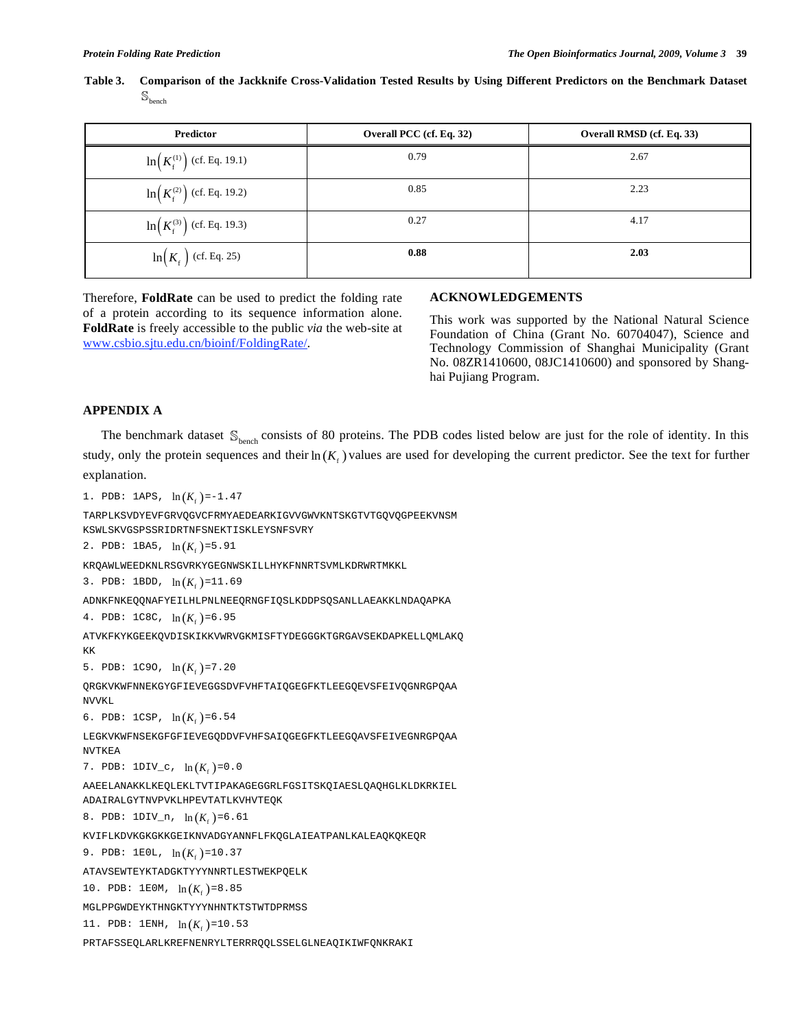**Table 3. Comparison of the Jackknife Cross-Validation Tested Results by Using Different Predictors on the Benchmark Dataset**   $\mathbb{S}_{\text{bench}}$ 

| <b>Predictor</b>                                 | Overall PCC (cf. Eq. 32) | Overall RMSD (cf. Eq. 33) |
|--------------------------------------------------|--------------------------|---------------------------|
| $\ln\left(K_{\rm f}^{(1)}\right)$ (cf. Eq. 19.1) | 0.79                     | 2.67                      |
| $\ln\left(K_{\rm f}^{(2)}\right)$ (cf. Eq. 19.2) | 0.85                     | 2.23                      |
| $\ln\left(K_{\rm f}^{(3)}\right)$ (cf. Eq. 19.3) | 0.27                     | 4.17                      |
| $\ln(K_f)$ (cf. Eq. 25)                          | 0.88                     | 2.03                      |

Therefore, **FoldRate** can be used to predict the folding rate of a protein according to its sequence information alone. **FoldRate** is freely accessible to the public *via* the web-site at www.csbio.sjtu.edu.cn/bioinf/FoldingRate/.

# **ACKNOWLEDGEMENTS**

This work was supported by the National Natural Science Foundation of China (Grant No. 60704047), Science and Technology Commission of Shanghai Municipality (Grant No. 08ZR1410600, 08JC1410600) and sponsored by Shanghai Pujiang Program.

# **APPENDIX A**

The benchmark dataset  $\mathcal{S}_{\text{hench}}$  consists of 80 proteins. The PDB codes listed below are just for the role of identity. In this study, only the protein sequences and their  $\ln(K_c)$  values are used for developing the current predictor. See the text for further explanation.

```
1. PDB: 1APS, \ln(K_e) = -1.47
```

```
TARPLKSVDYEVFGRVQGVCFRMYAEDEARKIGVVGWVKNTSKGTVTGQVQGPEEKVNSM 
KSWLSKVGSPSSRIDRTNFSNEKTISKLEYSNFSVRY 
2. PDB: 1BA5, \ln(K_f) = 5.91KRQAWLWEEDKNLRSGVRKYGEGNWSKILLHYKFNNRTSVMLKDRWRTMKKL 
3. PDB: 1BDD, \ln(K_{\epsilon}) = 11.69ADNKFNKEQQNAFYEILHLPNLNEEQRNGFIQSLKDDPSQSANLLAEAKKLNDAQAPKA 
4. PDB: 1C8C, \ln(K_f) = 6.95ATVKFKYKGEEKQVDISKIKKVWRVGKMISFTYDEGGGKTGRGAVSEKDAPKELLQMLAKQ 
KK 
5. PDB: 1C90, \ln(K_e) = 7.20QRGKVKWFNNEKGYGFIEVEGGSDVFVHFTAIQGEGFKTLEEGQEVSFEIVQGNRGPQAA 
NVVKL 
6. PDB: 1CSP, \ln(K_c) = 6.54LEGKVKWFNSEKGFGFIEVEGQDDVFVHFSAIQGEGFKTLEEGQAVSFEIVEGNRGPQAA 
NVTKEA 
7. PDB: 1DIV_c, ln(K_f) = 0.0AAEELANAKKLKEQLEKLTVTIPAKAGEGGRLFGSITSKQIAESLQAQHGLKLDKRKIEL 
ADAIRALGYTNVPVKLHPEVTATLKVHVTEQK
```
8. PDB:  $1DIV_n$ ,  $ln(K_f) = 6.61$ 

KVIFLKDVKGKGKKGEIKNVADGYANNFLFKQGLAIEATPANLKALEAQKQKEQR

9. PDB:  $1E0L$ ,  $ln(K<sub>f</sub>) = 10.37$ 

ATAVSEWTEYKTADGKTYYYNNRTLESTWEKPQELK

10. PDB:  $1EOM$ ,  $ln(K<sub>f</sub>) = 8.85$ 

MGLPPGWDEYKTHNGKTYYYNHNTKTSTWTDPRMSS

11. PDB: 1ENH,  $\ln(K_f) = 10.53$ 

PRTAFSSEQLARLKREFNENRYLTERRRQQLSSELGLNEAQIKIWFQNKRAKI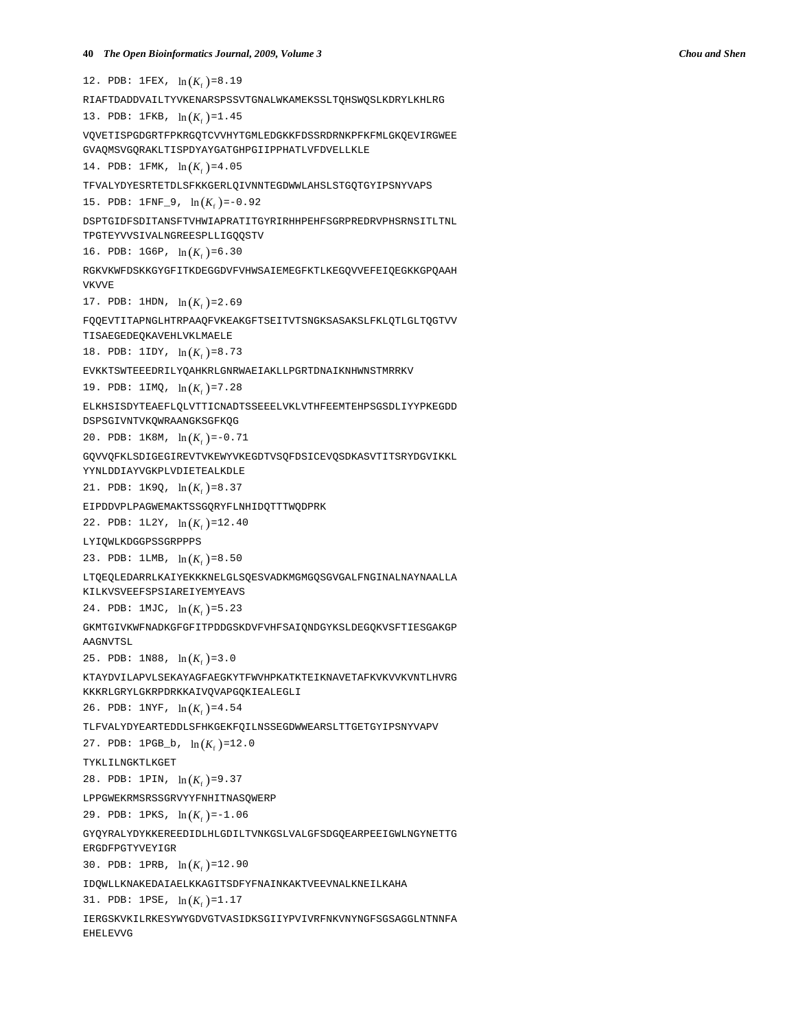12. PDB:  $1FEX, ln(K<sub>c</sub>) = 8.19$ RIAFTDADDVAILTYVKENARSPSSVTGNALWKAMEKSSLTQHSWQSLKDRYLKHLRG 13. PDB: 1FKB,  $\ln(K_f) = 1.45$ VQVETISPGDGRTFPKRGQTCVVHYTGMLEDGKKFDSSRDRNKPFKFMLGKQEVIRGWEE GVAQMSVGQRAKLTISPDYAYGATGHPGIIPPHATLVFDVELLKLE 14. PDB: 1FMK,  $\ln(K_f) = 4.05$ TFVALYDYESRTETDLSFKKGERLQIVNNTEGDWWLAHSLSTGQTGYIPSNYVAPS 15. PDB:  $1 \text{FNF}_9$ ,  $\ln(K_f) = -0.92$ DSPTGIDFSDITANSFTVHWIAPRATITGYRIRHHPEHFSGRPREDRVPHSRNSITLTNL TPGTEYVVSIVALNGREESPLLIGQQSTV 16. PDB: 1G6P,  $\ln(K_{\epsilon}) = 6.30$ RGKVKWFDSKKGYGFITKDEGGDVFVHWSAIEMEGFKTLKEGQVVEFEIQEGKKGPQAAH VKVVE 17. PDB: 1HDN,  $\ln(K_c) = 2.69$ FQQEVTITAPNGLHTRPAAQFVKEAKGFTSEITVTSNGKSASAKSLFKLQTLGLTQGTVV TISAEGEDEQKAVEHLVKLMAELE 18. PDB: 1IDY,  $\ln(K_f) = 8.73$ EVKKTSWTEEEDRILYQAHKRLGNRWAEIAKLLPGRTDNAIKNHWNSTMRRKV 19. PDB:  $1IMQ$ ,  $\ln(K_{\epsilon}) = 7.28$ ELKHSISDYTEAEFLQLVTTICNADTSSEEELVKLVTHFEEMTEHPSGSDLIYYPKEGDD DSPSGIVNTVKQWRAANGKSGFKQG 20. PDB:  $1K8M$ ,  $\ln(K_c) = -0.71$ GQVVQFKLSDIGEGIREVTVKEWYVKEGDTVSQFDSICEVQSDKASVTITSRYDGVIKKL YYNLDDIAYVGKPLVDIETEALKDLE 21. PDB:  $1K9Q$ ,  $\ln(K_f) = 8.37$ EIPDDVPLPAGWEMAKTSSGQRYFLNHIDQTTTWQDPRK 22. PDB:  $1L2Y$ ,  $\ln(K_{\epsilon})=12.40$ LYIQWLKDGGPSSGRPPPS 23. PDB:  $1LMB$ ,  $\ln(K_f) = 8.50$ LTQEQLEDARRLKAIYEKKKNELGLSQESVADKMGMGQSGVGALFNGINALNAYNAALLA KILKVSVEEFSPSIAREIYEMYEAVS 24. PDB:  $1$ MJC,  $\ln(K_f) = 5.23$ GKMTGIVKWFNADKGFGFITPDDGSKDVFVHFSAIQNDGYKSLDEGQKVSFTIESGAKGP AAGNVTSL 25. PDB:  $1N88$ ,  $\ln(K_f) = 3.0$ KTAYDVILAPVLSEKAYAGFAEGKYTFWVHPKATKTEIKNAVETAFKVKVVKVNTLHVRG KKKRLGRYLGKRPDRKKAIVQVAPGQKIEALEGLI 26. PDB:  $1NYF$ ,  $\ln(K_f) = 4.54$ TLFVALYDYEARTEDDLSFHKGEKFQILNSSEGDWWEARSLTTGETGYIPSNYVAPV 27. PDB:  $1PGB_b$ ,  $\ln(K_f) = 12.0$ TYKLILNGKTLKGET 28. PDB: 1PIN,  $\ln(K_f) = 9.37$ LPPGWEKRMSRSSGRVYYFNHITNASQWERP 29. PDB: 1PKS,  $\ln(K_f) = -1.06$ GYQYRALYDYKKEREEDIDLHLGDILTVNKGSLVALGFSDGQEARPEEIGWLNGYNETTG ERGDFPGTYVEYIGR 30. PDB: 1PRB,  $\ln(K_f) = 12.90$ IDQWLLKNAKEDAIAELKKAGITSDFYFNAINKAKTVEEVNALKNEILKAHA 31. PDB: 1PSE,  $\ln(K_f) = 1.17$ 

IERGSKVKILRKESYWYGDVGTVASIDKSGIIYPVIVRFNKVNYNGFSGSAGGLNTNNFA EHELEVVG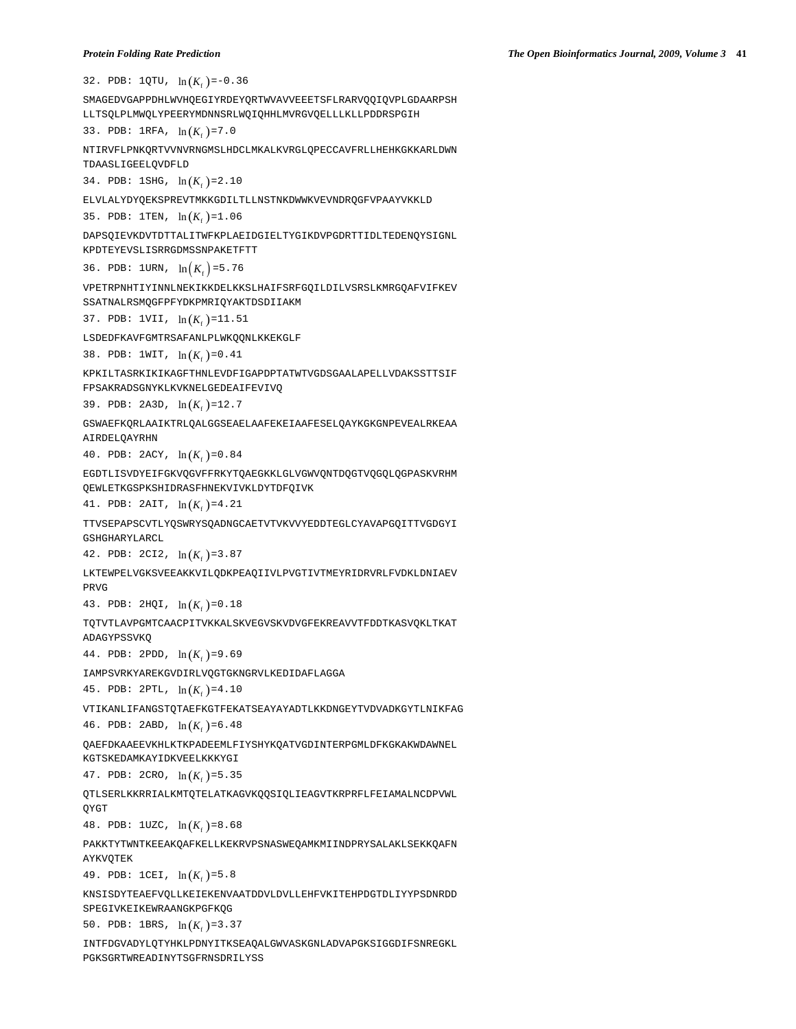32. PDB:  $1QTU$ ,  $\ln(K_c) = -0.36$ SMAGEDVGAPPDHLWVHQEGIYRDEYQRTWVAVVEEETSFLRARVQQIQVPLGDAARPSH LLTSQLPLMWQLYPEERYMDNNSRLWQIQHHLMVRGVQELLLKLLPDDRSPGIH 33. PDB:  $1RFA$ ,  $\ln(K_f) = 7.0$ NTIRVFLPNKQRTVVNVRNGMSLHDCLMKALKVRGLQPECCAVFRLLHEHKGKKARLDWN TDAASLIGEELQVDFLD 34. PDB: 1SHG,  $\ln(K_f) = 2.10$ ELVLALYDYQEKSPREVTMKKGDILTLLNSTNKDWWKVEVNDRQGFVPAAYVKKLD 35. PDB:  $1$ TEN,  $\ln(K_e) = 1.06$ DAPSQIEVKDVTDTTALITWFKPLAEIDGIELTYGIKDVPGDRTTIDLTEDENQYSIGNL KPDTEYEVSLISRRGDMSSNPAKETFTT 36. PDB: 1URN,  $ln(K_{c}) = 5.76$ VPETRPNHTIYINNLNEKIKKDELKKSLHAIFSRFGQILDILVSRSLKMRGQAFVIFKEV SSATNALRSMQGFPFYDKPMRIQYAKTDSDIIAKM 37. PDB:  $1VII$ ,  $ln(K_f) = 11.51$ LSDEDFKAVFGMTRSAFANLPLWKQQNLKKEKGLF 38. PDB:  $1WIT$ ,  $ln(K_f)=0.41$ KPKILTASRKIKIKAGFTHNLEVDFIGAPDPTATWTVGDSGAALAPELLVDAKSSTTSIF FPSAKRADSGNYKLKVKNELGEDEAIFEVIVQ 39. PDB: 2A3D,  $\ln(K_f)$ =12.7 GSWAEFKQRLAAIKTRLQALGGSEAELAAFEKEIAAFESELQAYKGKGNPEVEALRKEAA AIRDELQAYRHN 40. PDB:  $2ACY$ ,  $\ln(K_f) = 0.84$ EGDTLISVDYEIFGKVQGVFFRKYTQAEGKKLGLVGWVQNTDQGTVQGQLQGPASKVRHM QEWLETKGSPKSHIDRASFHNEKVIVKLDYTDFQIVK 41. PDB:  $2AIT, ln(K<sub>f</sub>) = 4.21$ TTVSEPAPSCVTLYQSWRYSQADNGCAETVTVKVVYEDDTEGLCYAVAPGQITTVGDGYI GSHGHARYLARCL 42. PDB:  $2CI2$ ,  $\ln(K_e) = 3.87$ LKTEWPELVGKSVEEAKKVILQDKPEAQIIVLPVGTIVTMEYRIDRVRLFVDKLDNIAEV PRVG 43. PDB:  $2HQI$ ,  $ln(K<sub>f</sub>) = 0.18$ TQTVTLAVPGMTCAACPITVKKALSKVEGVSKVDVGFEKREAVVTFDDTKASVQKLTKAT ADAGYPSSVKQ 44. PDB: 2PDD,  $\ln(K_f) = 9.69$ IAMPSVRKYAREKGVDIRLVQGTGKNGRVLKEDIDAFLAGGA 45. PDB:  $2PTL$ ,  $ln(K<sub>e</sub>) = 4.10$ VTIKANLIFANGSTQTAEFKGTFEKATSEAYAYADTLKKDNGEYTVDVADKGYTLNIKFAG 46. PDB: 2ABD,  $ln(K<sub>f</sub>)=6.48$ QAEFDKAAEEVKHLKTKPADEEMLFIYSHYKQATVGDINTERPGMLDFKGKAKWDAWNEL KGTSKEDAMKAYIDKVEELKKKYGI 47. PDB: 2CRO,  $\ln(K_f) = 5.35$ QTLSERLKKRRIALKMTQTELATKAGVKQQSIQLIEAGVTKRPRFLFEIAMALNCDPVWL QYGT 48. PDB:  $10ZC$ ,  $\ln(K_{\epsilon})=8.68$ PAKKTYTWNTKEEAKQAFKELLKEKRVPSNASWEQAMKMIINDPRYSALAKLSEKKQAFN **AYKVOTEK** 49. PDB:  $1CEL$ ,  $ln(K_f) = 5.8$ KNSISDYTEAEFVQLLKEIEKENVAATDDVLDVLLEHFVKITEHPDGTDLIYYPSDNRDD SPEGIVKEIKEWRAANGKPGFKQG 50. PDB: 1BRS,  $\ln(K_f) = 3.37$ INTFDGVADYLQTYHKLPDNYITKSEAQALGWVASKGNLADVAPGKSIGGDIFSNREGKL

```
PGKSGRTWREADINYTSGFRNSDRILYSS
```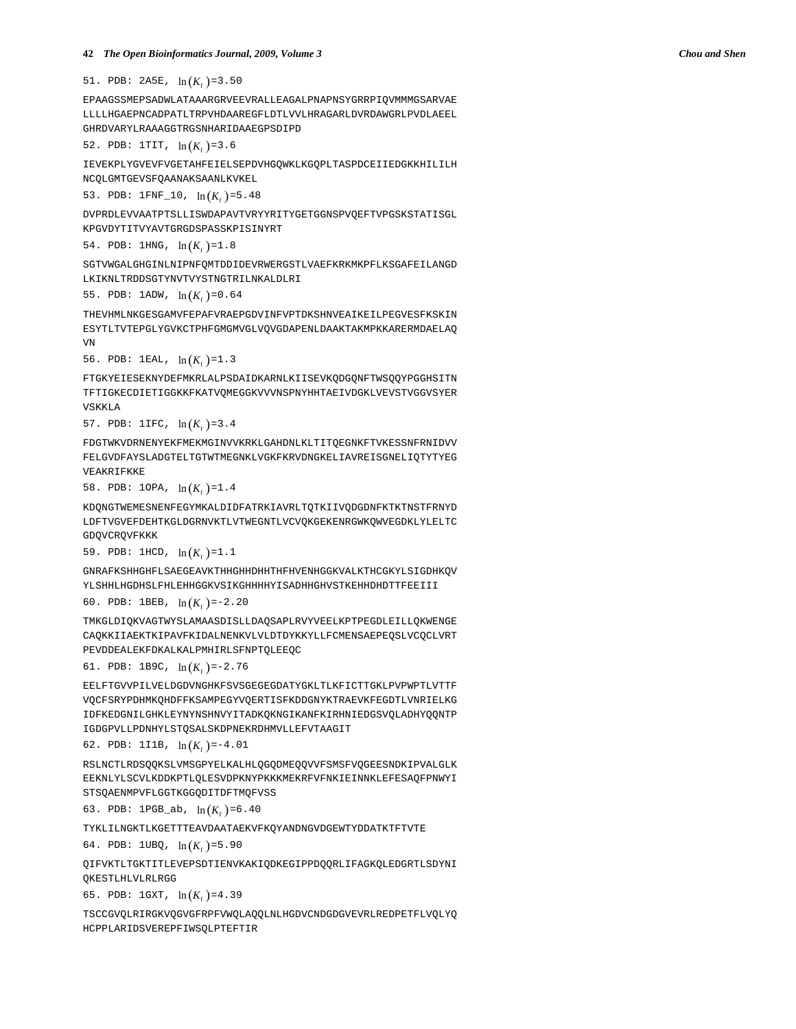51. PDB:  $2A5E$ ,  $\ln(K_f) = 3.50$ 

EPAAGSSMEPSADWLATAAARGRVEEVRALLEAGALPNAPNSYGRRPIQVMMMGSARVAE LLLLHGAEPNCADPATLTRPVHDAAREGFLDTLVVLHRAGARLDVRDAWGRLPVDLAEEL GHRDVARYLRAAAGGTRGSNHARIDAAEGPSDIPD

52. PDB:  $1TTT$ ,  $\ln(K_{f})=3.6$ 

IEVEKPLYGVEVFVGETAHFEIELSEPDVHGQWKLKGQPLTASPDCEIIEDGKKHILILH NCQLGMTGEVSFQAANAKSAANLKVKEL

53. PDB:  $1$ FNF\_10,  $\ln(K_{\epsilon})$ =5.48

DVPRDLEVVAATPTSLLISWDAPAVTVRYYRITYGETGGNSPVQEFTVPGSKSTATISGL KPGVDYTITVYAVTGRGDSPASSKPISINYRT

54. PDB:  $1HNG$ ,  $ln(K<sub>e</sub>)=1.8$ 

SGTVWGALGHGINLNIPNFQMTDDIDEVRWERGSTLVAEFKRKMKPFLKSGAFEILANGD LKIKNLTRDDSGTYNVTVYSTNGTRILNKALDLRI

55. PDB:  $1$ ADW,  $\ln(K_{\epsilon})=0.64$ 

THEVHMLNKGESGAMVFEPAFVRAEPGDVINFVPTDKSHNVEAIKEILPEGVESFKSKIN ESYTLTVTEPGLYGVKCTPHFGMGMVGLVQVGDAPENLDAAKTAKMPKKARERMDAELAQ VN

56. PDB: 1EAL,  $\ln(K_{\epsilon})=1.3$ 

FTGKYEIESEKNYDEFMKRLALPSDAIDKARNLKIISEVKQDGQNFTWSQQYPGGHSITN TFTIGKECDIETIGGKKFKATVQMEGGKVVVNSPNYHHTAEIVDGKLVEVSTVGGVSYER VSKKLA

57. PDB:  $1IFC$ ,  $\ln(K_{\epsilon})=3.4$ 

FDGTWKVDRNENYEKFMEKMGINVVKRKLGAHDNLKLTITQEGNKFTVKESSNFRNIDVV FELGVDFAYSLADGTELTGTWTMEGNKLVGKFKRVDNGKELIAVREISGNELIQTYTYEG VEAKRIFKKE

58. PDB:  $10PA$ ,  $\ln(K_f) = 1.4$ 

KDQNGTWEMESNENFEGYMKALDIDFATRKIAVRLTQTKIIVQDGDNFKTKTNSTFRNYD LDFTVGVEFDEHTKGLDGRNVKTLVTWEGNTLVCVQKGEKENRGWKQWVEGDKLYLELTC GDQVCRQVFKKK

59. PDB:  $1HCD$ ,  $\ln(K_f) = 1.1$ 

GNRAFKSHHGHFLSAEGEAVKTHHGHHDHHTHFHVENHGGKVALKTHCGKYLSIGDHKQV YLSHHLHGDHSLFHLEHHGGKVSIKGHHHHYISADHHGHVSTKEHHDHDTTFEEIII

60. PDB: 1BEB,  $\ln(K_{\epsilon}) = -2.20$ 

TMKGLDIQKVAGTWYSLAMAASDISLLDAQSAPLRVYVEELKPTPEGDLEILLQKWENGE CAQKKIIAEKTKIPAVFKIDALNENKVLVLDTDYKKYLLFCMENSAEPEQSLVCQCLVRT PEVDDEALEKFDKALKALPMHIRLSFNPTQLEEQC

61. PDB: 1B9C,  $\ln(K_f) = -2.76$ 

EELFTGVVPILVELDGDVNGHKFSVSGEGEGDATYGKLTLKFICTTGKLPVPWPTLVTTF VQCFSRYPDHMKQHDFFKSAMPEGYVQERTISFKDDGNYKTRAEVKFEGDTLVNRIELKG IDFKEDGNILGHKLEYNYNSHNVYITADKQKNGIKANFKIRHNIEDGSVQLADHYQQNTP IGDGPVLLPDNHYLSTQSALSKDPNEKRDHMVLLEFVTAAGIT

62. PDB: 1I1B,  $\ln(K_f) = -4.01$ 

RSLNCTLRDSQQKSLVMSGPYELKALHLQGQDMEQQVVFSMSFVQGEESNDKIPVALGLK EEKNLYLSCVLKDDKPTLQLESVDPKNYPKKKMEKRFVFNKIEINNKLEFESAQFPNWYI STSQAENMPVFLGGTKGGQDITDFTMQFVSS

63. PDB:  $1PGB_ab$ ,  $\ln(K_{\epsilon})=6.40$ 

TYKLILNGKTLKGETTTEAVDAATAEKVFKQYANDNGVDGEWTYDDATKTFTVTE

64. PDB:  $1UBQ$ ,  $ln(K_f) = 5.90$ 

QIFVKTLTGKTITLEVEPSDTIENVKAKIQDKEGIPPDQQRLIFAGKQLEDGRTLSDYNI QKESTLHLVLRLRGG

65. PDB:  $1GXT$ ,  $ln(K<sub>f</sub>)=4.39$ 

TSCCGVQLRIRGKVQGVGFRPFVWQLAQQLNLHGDVCNDGDGVEVRLREDPETFLVQLYQ HCPPLARIDSVEREPFIWSQLPTEFTIR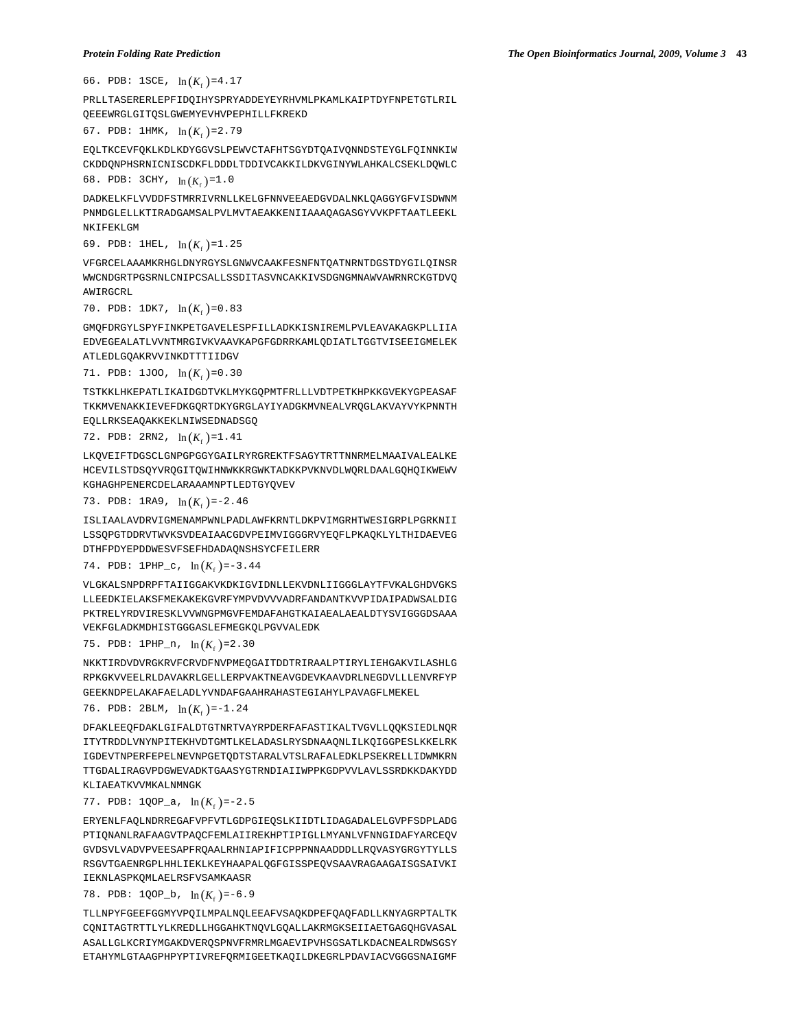66. PDB:  $1SCE$ ,  $\ln(K_c) = 4.17$ 

PRLLTASERERLEPFIDQIHYSPRYADDEYEYRHVMLPKAMLKAIPTDYFNPETGTLRIL QEEEWRGLGITQSLGWEMYEVHVPEPHILLFKREKD

```
67. PDB: 1HMK, \ln(K_f) = 2.79
```
EQLTKCEVFQKLKDLKDYGGVSLPEWVCTAFHTSGYDTQAIVQNNDSTEYGLFQINNKIW CKDDQNPHSRNICNISCDKFLDDDLTDDIVCAKKILDKVGINYWLAHKALCSEKLDQWLC 68. PDB:  $3CHY$ ,  $\ln(K_f) = 1.0$ 

DADKELKFLVVDDFSTMRRIVRNLLKELGFNNVEEAEDGVDALNKLQAGGYGFVISDWNM PNMDGLELLKTIRADGAMSALPVLMVTAEAKKENIIAAAQAGASGYVVKPFTAATLEEKL NKIFEKLGM

69. PDB: 1HEL,  $\ln(K_{\epsilon})=1.25$ 

VFGRCELAAAMKRHGLDNYRGYSLGNWVCAAKFESNFNTQATNRNTDGSTDYGILQINSR WWCNDGRTPGSRNLCNIPCSALLSSDITASVNCAKKIVSDGNGMNAWVAWRNRCKGTDVQ AWIRGCRL

70. PDB:  $1DK7$ ,  $\ln(K_f) = 0.83$ 

GMQFDRGYLSPYFINKPETGAVELESPFILLADKKISNIREMLPVLEAVAKAGKPLLIIA EDVEGEALATLVVNTMRGIVKVAAVKAPGFGDRRKAMLQDIATLTGGTVISEEIGMELEK ATLEDLGQAKRVVINKDTTTIIDGV

71. PDB:  $1J00$ ,  $\ln(K_{\epsilon})=0.30$ 

TSTKKLHKEPATLIKAIDGDTVKLMYKGQPMTFRLLLVDTPETKHPKKGVEKYGPEASAF TKKMVENAKKIEVEFDKGQRTDKYGRGLAYIYADGKMVNEALVRQGLAKVAYVYKPNNTH EQLLRKSEAQAKKEKLNIWSEDNADSGQ

72. PDB:  $2RN2$ ,  $\ln(K_f) = 1.41$ 

LKQVEIFTDGSCLGNPGPGGYGAILRYRGREKTFSAGYTRTTNNRMELMAAIVALEALKE HCEVILSTDSQYVRQGITQWIHNWKKRGWKTADKKPVKNVDLWQRLDAALGQHQIKWEWV KGHAGHPENERCDELARAAAMNPTLEDTGYQVEV

73. PDB: 1RA9, 
$$
\ln(K_f) = -2.46
$$

ISLIAALAVDRVIGMENAMPWNLPADLAWFKRNTLDKPVIMGRHTWESIGRPLPGRKNII LSSQPGTDDRVTWVKSVDEAIAACGDVPEIMVIGGGRVYEQFLPKAQKLYLTHIDAEVEG DTHFPDYEPDDWESVFSEFHDADAQNSHSYCFEILERR

74. PDB:  $1$ PHP<sub>-</sub>c,  $\ln(K_c)$ =-3.44

VLGKALSNPDRPFTAIIGGAKVKDKIGVIDNLLEKVDNLIIGGGLAYTFVKALGHDVGKS LLEEDKIELAKSFMEKAKEKGVRFYMPVDVVVADRFANDANTKVVPIDAIPADWSALDIG PKTRELYRDVIRESKLVVWNGPMGVFEMDAFAHGTKAIAEALAEALDTYSVIGGGDSAAA VEKFGLADKMDHISTGGGASLEFMEGKQLPGVVALEDK

75. PDB:  $1PHP_n$ ,  $ln(K_f) = 2.30$ 

NKKTIRDVDVRGKRVFCRVDFNVPMEQGAITDDTRIRAALPTIRYLIEHGAKVILASHLG RPKGKVVEELRLDAVAKRLGELLERPVAKTNEAVGDEVKAAVDRLNEGDVLLLENVRFYP GEEKNDPELAKAFAELADLYVNDAFGAAHRAHASTEGIAHYLPAVAGFLMEKEL

#### 76. PDB: 2BLM,  $\ln(K_f) = -1.24$

DFAKLEEQFDAKLGIFALDTGTNRTVAYRPDERFAFASTIKALTVGVLLQQKSIEDLNQR ITYTRDDLVNYNPITEKHVDTGMTLKELADASLRYSDNAAQNLILKQIGGPESLKKELRK IGDEVTNPERFEPELNEVNPGETQDTSTARALVTSLRAFALEDKLPSEKRELLIDWMKRN TTGDALIRAGVPDGWEVADKTGAASYGTRNDIAIIWPPKGDPVVLAVLSSRDKKDAKYDD KLIAEATKVVMKALNMNGK

#### 77. PDB:  $1QOP_a$ ,  $\ln(K_c) = -2.5$

ERYENLFAQLNDRREGAFVPFVTLGDPGIEQSLKIIDTLIDAGADALELGVPFSDPLADG PTIQNANLRAFAAGVTPAQCFEMLAIIREKHPTIPIGLLMYANLVFNNGIDAFYARCEQV GVDSVLVADVPVEESAPFRQAALRHNIAPIFICPPPNNAADDDLLRQVASYGRGYTYLLS RSGVTGAENRGPLHHLIEKLKEYHAAPALQGFGISSPEQVSAAVRAGAAGAISGSAIVKI IEKNLASPKQMLAELRSFVSAMKAASR

78. PDB:  $1QOP_b$ ,  $\ln(K_f) = -6.9$ 

TLLNPYFGEEFGGMYVPQILMPALNQLEEAFVSAQKDPEFQAQFADLLKNYAGRPTALTK CQNITAGTRTTLYLKREDLLHGGAHKTNQVLGQALLAKRMGKSEIIAETGAGQHGVASAL ASALLGLKCRIYMGAKDVERQSPNVFRMRLMGAEVIPVHSGSATLKDACNEALRDWSGSY ETAHYMLGTAAGPHPYPTIVREFQRMIGEETKAQILDKEGRLPDAVIACVGGGSNAIGMF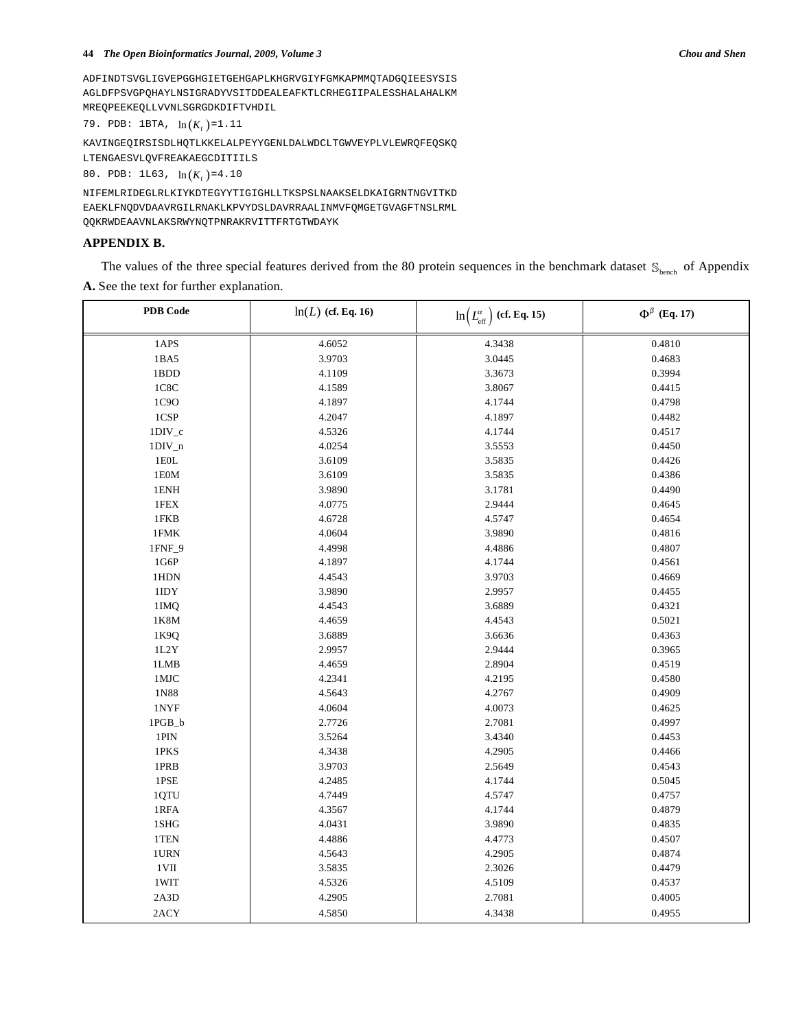#### **44** *The Open Bioinformatics Journal, 2009, Volume 3 Chou and Shen*

ADFINDTSVGLIGVEPGGHGIETGEHGAPLKHGRVGIYFGMKAPMMQTADGQIEESYSIS AGLDFPSVGPQHAYLNSIGRADYVSITDDEALEAFKTLCRHEGIIPALESSHALAHALKM MREQPEEKEQLLVVNLSGRGDKDIFTVHDIL

79. PDB: 1BTA,  $\ln(K_f) = 1.11$ 

KAVINGEQIRSISDLHQTLKKELALPEYYGENLDALWDCLTGWVEYPLVLEWRQFEQSKQ LTENGAESVLQVFREAKAEGCDITIILS

80. PDB:  $1L63$ ,  $\ln(K_f) = 4.10$ 

NIFEMLRIDEGLRLKIYKDTEGYYTIGIGHLLTKSPSLNAAKSELDKAIGRNTNGVITKD EAEKLFNQDVDAAVRGILRNAKLKPVYDSLDAVRRAALINMVFQMGETGVAGFTNSLRML QQKRWDEAAVNLAKSRWYNQTPNRAKRVITTFRTGTWDAYK

# **APPENDIX B.**

The values of the three special features derived from the 80 protein sequences in the benchmark dataset  $\mathcal{S}_{\text{hench}}$  of Appendix **A.** See the text for further explanation.

| <b>PDB</b> Code | $ln(L)$ (cf. Eq. 16) | $\ln(L_{\rm eff}^{\alpha})$ (cf. Eq. 15) | $\Phi^\beta$ (Eq. 17) |
|-----------------|----------------------|------------------------------------------|-----------------------|
| 1APS            | 4.6052               | 4.3438                                   | 0.4810                |
| $1BA5$          | 3.9703               | 3.0445                                   | 0.4683                |
| 1BDD            | 4.1109               | 3.3673                                   | 0.3994                |
| 1C8C            | 4.1589               | 3.8067                                   | 0.4415                |
| 1C9O            | 4.1897               | 4.1744                                   | 0.4798                |
| 1CSP            | 4.2047               | 4.1897                                   | 0.4482                |
| $1DIV_c$        | 4.5326               | 4.1744                                   | 0.4517                |
| $1DIV_n$        | 4.0254               | 3.5553                                   | 0.4450                |
| $1\mathrm{EOL}$ | 3.6109               | 3.5835                                   | 0.4426                |
| $1\mathrm{E0M}$ | 3.6109               | 3.5835                                   | 0.4386                |
| $1\textrm{ENH}$ | 3.9890               | 3.1781                                   | 0.4490                |
| 1FEX            | 4.0775               | 2.9444                                   | 0.4645                |
| 1FKB            | 4.6728               | 4.5747                                   | 0.4654                |
| $1\mathrm{FMK}$ | 4.0604               | 3.9890                                   | 0.4816                |
| $1$ FNF_9 $\,$  | 4.4998               | 4.4886                                   | 0.4807                |
| 1G6P            | 4.1897               | 4.1744                                   | 0.4561                |
| 1HDN            | 4.4543               | 3.9703                                   | 0.4669                |
| $1\mathrm{IDY}$ | 3.9890               | 2.9957                                   | 0.4455                |
| 1IMQ            | 4.4543               | 3.6889                                   | 0.4321                |
| 1K8M            | 4.4659               | 4.4543                                   | 0.5021                |
| 1K9Q            | 3.6889               | 3.6636                                   | 0.4363                |
| $1\mathrm{L2Y}$ | 2.9957               | 2.9444                                   | 0.3965                |
| 1LMB            | 4.4659               | 2.8904                                   | 0.4519                |
| $1$ MJC         | 4.2341               | 4.2195                                   | 0.4580                |
| 1N88            | 4.5643               | 4.2767                                   | 0.4909                |
| 1NYF            | 4.0604               | 4.0073                                   | 0.4625                |
| $1PGB_b$        | 2.7726               | 2.7081                                   | 0.4997                |
| 1PIN            | 3.5264               | 3.4340                                   | 0.4453                |
| 1PKS            | 4.3438               | 4.2905                                   | 0.4466                |
| 1PRB            | 3.9703               | 2.5649                                   | 0.4543                |
| 1PSE            | 4.2485               | 4.1744                                   | 0.5045                |
| 1QTU            | 4.7449               | 4.5747                                   | 0.4757                |
| 1RFA            | 4.3567               | 4.1744                                   | 0.4879                |
| 1SHG            | 4.0431               | 3.9890                                   | 0.4835                |
| 1TEN            | 4.4886               | 4.4773                                   | 0.4507                |
| 1URN            | 4.5643               | 4.2905                                   | 0.4874                |
| $1\mathrm{VII}$ | 3.5835               | 2.3026                                   | 0.4479                |
| $1\rm{WIT}$     | 4.5326               | 4.5109                                   | 0.4537                |
| 2A3D            | 4.2905               | 2.7081                                   | 0.4005                |
| 2ACY            | 4.5850               | 4.3438                                   | 0.4955                |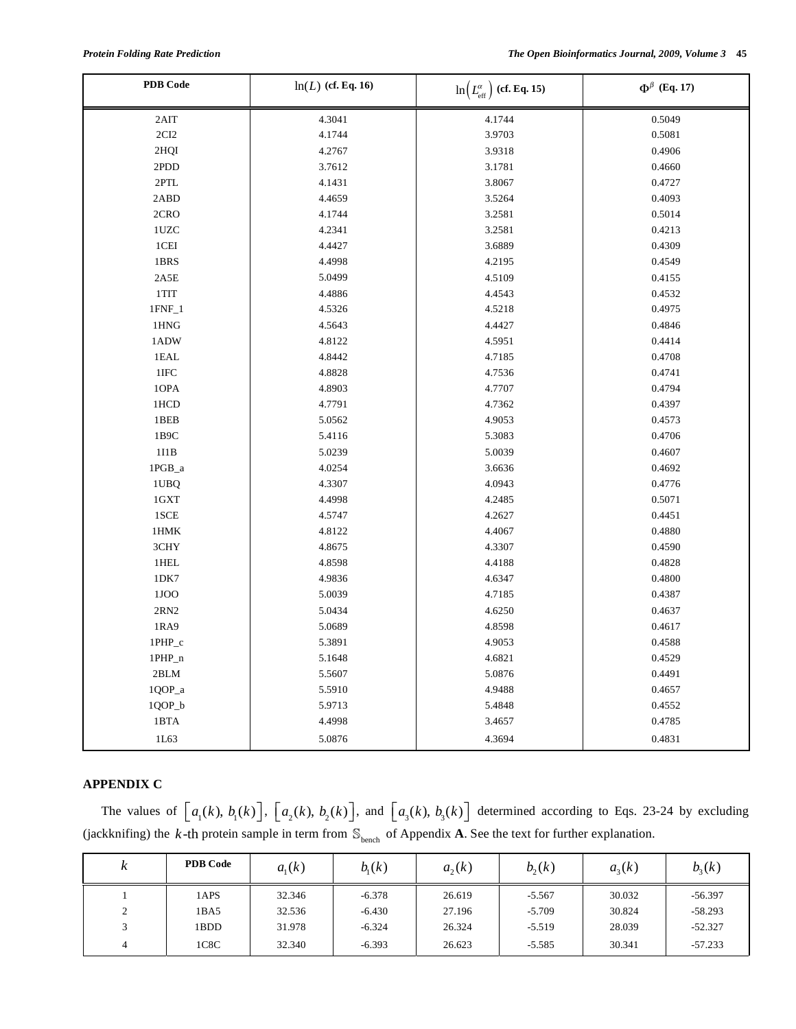| <b>PDB</b> Code | $ln(L)$ (cf. Eq. 16) | $\ln\left(L_{\rm eff}^{\alpha}\right)$ (cf. Eq. 15) | $\Phi^{\beta}$ (Eq. 17) |
|-----------------|----------------------|-----------------------------------------------------|-------------------------|
| 2AIT            | 4.3041               | 4.1744                                              | 0.5049                  |
| $2\mathrm{CI}2$ | 4.1744               | 3.9703                                              | 0.5081                  |
| $2HQI$          | 4.2767               | 3.9318                                              | 0.4906                  |
| 2PDD            | 3.7612               | 3.1781                                              | 0.4660                  |
| 2PTL            | 4.1431               | 3.8067                                              | 0.4727                  |
| 2ABD            | 4.4659               | 3.5264                                              | 0.4093                  |
| 2CRO            | 4.1744               | 3.2581                                              | 0.5014                  |
| 1UZC            | 4.2341               | 3.2581                                              | 0.4213                  |
| 1CEI            | 4.4427               | 3.6889                                              | 0.4309                  |
| 1BRS            | 4.4998               | 4.2195                                              | 0.4549                  |
| 2A5E            | 5.0499               | 4.5109                                              | 0.4155                  |
| $1$ TIT         | 4.4886               | 4.4543                                              | 0.4532                  |
| $1$ FNF $\_1$   | 4.5326               | 4.5218                                              | 0.4975                  |
| 1HNG            | 4.5643               | 4.4427                                              | 0.4846                  |
| 1ADW            | 4.8122               | 4.5951                                              | 0.4414                  |
| 1EAL            | 4.8442               | 4.7185                                              | 0.4708                  |
| $1\mbox{IFC}$   | 4.8828               | 4.7536                                              | 0.4741                  |
| 1OPA            | 4.8903               | 4.7707                                              | 0.4794                  |
| 1HCD            | 4.7791               | 4.7362                                              | 0.4397                  |
| 1BEB            | 5.0562               | 4.9053                                              | 0.4573                  |
| $1\mathrm{B9C}$ | 5.4116               | 5.3083                                              | 0.4706                  |
| 111B            | 5.0239               | 5.0039                                              | 0.4607                  |
| 1PGB_a          | 4.0254               | 3.6636                                              | 0.4692                  |
| 1UBQ            | 4.3307               | 4.0943                                              | 0.4776                  |
| 1GXT            | 4.4998               | 4.2485                                              | 0.5071                  |
| 1SCE            | 4.5747               | 4.2627                                              | 0.4451                  |
| 1HMK            | 4.8122               | 4.4067                                              | 0.4880                  |
| 3CHY            | 4.8675               | 4.3307                                              | 0.4590                  |
| 1HEL            | 4.8598               | 4.4188                                              | 0.4828                  |
| 1DK7            | 4.9836               | 4.6347                                              | 0.4800                  |
| 1JOO            | 5.0039               | 4.7185                                              | 0.4387                  |
| $2\mathrm{RN}2$ | 5.0434               | 4.6250                                              | 0.4637                  |
| 1RA9            | 5.0689               | 4.8598                                              | 0.4617                  |
| 1PHP_c          | 5.3891               | 4.9053                                              | 0.4588                  |
| 1PHP_n          | 5.1648               | 4.6821                                              | 0.4529                  |
| 2BLM            | 5.5607               | 5.0876                                              | 0.4491                  |
| $1QOP_a$        | 5.5910               | 4.9488                                              | 0.4657                  |
| 1QOP_b          | 5.9713               | 5.4848                                              | 0.4552                  |
| 1BTA            | 4.4998               | 3.4657                                              | 0.4785                  |
| 1L63            | 5.0876               | 4.3694                                              | 0.4831                  |

# **APPENDIX C**

The values of  $\lfloor a_1(k), b_1(k) \rfloor$ ,  $\lfloor a_2(k), b_2(k) \rfloor$ , and  $\lfloor a_3(k), b_3(k) \rfloor$  determined according to Eqs. 23-24 by excluding (jackknifing) the  $k$ -th protein sample in term from  $\mathbb{S}_{\text{bench}}$  of Appendix **A**. See the text for further explanation.

| $\mathbf{r}$<br>ĸ | <b>PDB Code</b> | $a_{i}(k)$ | b <sub>1</sub> (k) | $a_{2}(k)$ | $b_{2}(k)$ | $a_{3}(k)$ | $b_{3}(k)$ |
|-------------------|-----------------|------------|--------------------|------------|------------|------------|------------|
|                   | 1APS            | 32.346     | $-6.378$           | 26.619     | $-5.567$   | 30.032     | $-56.397$  |
| $\sim$<br>∠       | 1BA5            | 32.536     | $-6.430$           | 27.196     | $-5.709$   | 30.824     | $-58.293$  |
| $\mathbf{R}$      | 1BDD            | 31.978     | $-6.324$           | 26.324     | $-5.519$   | 28.039     | $-52.327$  |
|                   | 1C8C            | 32.340     | $-6.393$           | 26.623     | $-5.585$   | 30.341     | $-57.233$  |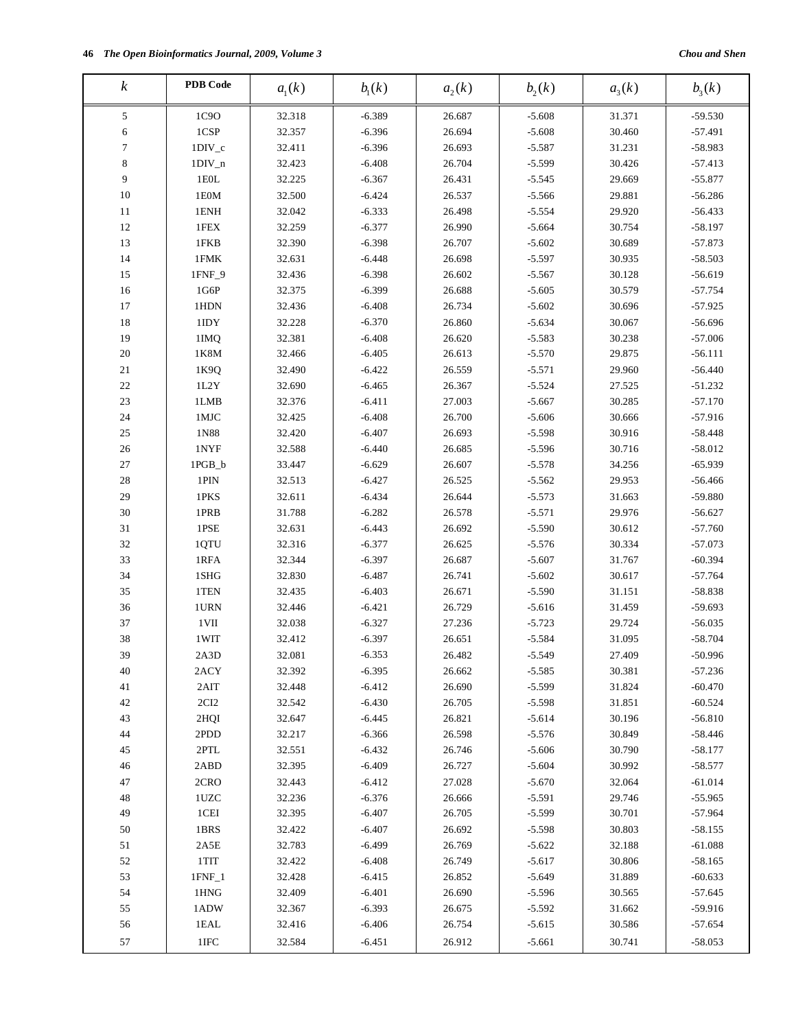| $\boldsymbol{k}$  | <b>PDB</b> Code         | a <sub>1</sub> (k) | $b_{1}(k)$           | $a_2(k)$         | $b_2(k)$             | $a_{3}(k)$       | $b_3(k)$               |
|-------------------|-------------------------|--------------------|----------------------|------------------|----------------------|------------------|------------------------|
| 5                 | 1C9O                    | 32.318             | $-6.389$             | 26.687           | $-5.608$             | 31.371           | $-59.530$              |
| 6                 | 1CSP                    | 32.357             | $-6.396$             | 26.694           | $-5.608$             | 30.460           | $-57.491$              |
| $\tau$            | $1DIV_c$                | 32.411             | $-6.396$             | 26.693           | $-5.587$             | 31.231           | -58.983                |
| $\,$ 8 $\,$       | $1DIV_n$                | 32.423             | $-6.408$             | 26.704           | $-5.599$             | 30.426           | $-57.413$              |
| 9                 | $1E0L$                  | 32.225             | $-6.367$             | 26.431           | $-5.545$             | 29.669           | $-55.877$              |
| 10                | 1E0M                    | 32.500             | $-6.424$             | 26.537           | $-5.566$             | 29.881           | $-56.286$              |
| $11\,$            | 1ENH                    | 32.042             | $-6.333$             | 26.498           | $-5.554$             | 29.920           | $-56.433$              |
| 12                |                         |                    | $-6.377$             | 26.990           | $-5.664$             | 30.754           | $-58.197$              |
| 13                | 1FEX                    | 32.259             |                      |                  |                      |                  |                        |
| 14                | 1FKB<br>1FMK            | 32.390<br>32.631   | $-6.398$<br>$-6.448$ | 26.707<br>26.698 | $-5.602$<br>$-5.597$ | 30.689<br>30.935 | $-57.873$<br>$-58.503$ |
| 15                | 1FNF_9                  | 32.436             | $-6.398$             | 26.602           | $-5.567$             | 30.128           | $-56.619$              |
| 16                | 1G6P                    |                    |                      | 26.688           |                      |                  |                        |
| 17                | 1HDN                    | 32.375<br>32.436   | $-6.399$<br>$-6.408$ | 26.734           | $-5.605$<br>$-5.602$ | 30.579<br>30.696 | $-57.754$<br>$-57.925$ |
| 18                | 1IDY                    | 32.228             |                      | 26.860           |                      |                  |                        |
| 19                | 1IMQ                    | 32.381             | $-6.370$<br>$-6.408$ | 26.620           | $-5.634$<br>$-5.583$ | 30.067<br>30.238 | $-56.696$<br>$-57.006$ |
| $20\,$            | 1K8M                    | 32.466             | $-6.405$             | 26.613           | $-5.570$             | 29.875           | $-56.111$              |
| 21                |                         | 32.490             |                      | 26.559           |                      | 29.960           | $-56.440$              |
| $22\,$            | 1K9Q<br>1L2Y            | 32.690             | $-6.422$             | 26.367           | $-5.571$             |                  |                        |
| $23\,$            |                         |                    | $-6.465$             | 27.003           | $-5.524$             | 27.525           | $-51.232$<br>$-57.170$ |
| 24                | 1LMB<br>$1$ MJC $\,$    | 32.376             | $-6.411$             | 26.700           | $-5.667$             | 30.285           |                        |
|                   |                         | 32.425             | $-6.408$             |                  | $-5.606$             | 30.666           | $-57.916$              |
| 25<br>$26\,$      | 1N88<br>$1\mathrm{NYF}$ | 32.420<br>32.588   | $-6.407$             | 26.693<br>26.685 | $-5.598$<br>$-5.596$ | 30.916<br>30.716 | $-58.448$<br>$-58.012$ |
| $27\,$            |                         |                    | $-6.440$             | 26.607           | $-5.578$             |                  | $-65.939$              |
|                   | 1PGB_b                  | 33.447             | $-6.629$             |                  |                      | 34.256           |                        |
| 28                | $1$ PIN                 | 32.513             | $-6.427$             | 26.525           | $-5.562$             | 29.953           | $-56.466$              |
| 29                | 1PKS                    | 32.611             | $-6.434$             | 26.644           | $-5.573$             | 31.663           | -59.880                |
| 30                | 1PRB                    | 31.788             | $-6.282$             | 26.578           | $-5.571$             | 29.976           | $-56.627$              |
| 31                | 1PSE                    | 32.631             | $-6.443$             | 26.692           | $-5.590$             | 30.612           | $-57.760$              |
| 32                | 1QTU                    | 32.316             | $-6.377$             | 26.625           | $-5.576$             | 30.334           | $-57.073$              |
| 33                | 1RFA                    | 32.344             | $-6.397$             | 26.687           | $-5.607$             | 31.767           | $-60.394$              |
| 34                | 1SHG                    | 32.830             | $-6.487$             | 26.741           | $-5.602$             | 30.617           | $-57.764$              |
| 35                | 1TEN                    | 32.435             | $-6.403$             | 26.671           | $-5.590$             | 31.151           | $-58.838$              |
| 36                | 1URN                    | 32.446             | $-6.421$             | 26.729           | $-5.616$             | 31.459           | $-59.693$              |
| 37                | $1$ VII                 | 32.038             | $-6.327$             | 27.236           | $-5.723$             | 29.724           | $-56.035$              |
| 38                | 1WIT                    | 32.412             | $-6.397$             | 26.651           | $-5.584$             | 31.095           | $-58.704$              |
| 39                | 2A3D                    | 32.081             | $-6.353$             | 26.482           | $-5.549$             | 27.409           | $-50.996$              |
| 40                | 2ACY                    | 32.392             | $-6.395$             | 26.662           | $-5.585$             | 30.381           | $-57.236$<br>$-60.470$ |
| 41                | 2AIT                    | 32.448             | $-6.412$             | 26.690           | $-5.599$             | 31.824           |                        |
| 42                | 2CI2                    | 32.542             | $-6.430$             | 26.705           | $-5.598$             | 31.851           | $-60.524$              |
| 43<br>44          | 2HQI                    | 32.647             | $-6.445$             | 26.821           | $-5.614$             | 30.196           | $-56.810$<br>$-58.446$ |
|                   | 2PDD                    | 32.217             | $-6.366$             | 26.598           | $-5.576$             | 30.849           |                        |
| 45                | 2PTL                    | 32.551             | $-6.432$             | 26.746           | $-5.606$             | 30.790           | $-58.177$              |
| 46<br>47          | 2ABD<br>2CRO            | 32.395             | $-6.409$             | 26.727           | $-5.604$             | 30.992           | $-58.577$              |
|                   |                         | 32.443             | $-6.412$             | 27.028           | $-5.670$             | 32.064           | $-61.014$              |
| $\sqrt{48}$<br>49 | 1UZC<br>1CEI            | 32.236             | $-6.376$             | 26.666<br>26.705 | $-5.591$<br>$-5.599$ | 29.746           | $-55.965$<br>$-57.964$ |
|                   |                         | 32.395             | $-6.407$             |                  |                      | 30.701           |                        |
| 50<br>51          | 1BRS<br>2A5E            | 32.422             | $-6.407$             | 26.692<br>26.769 | $-5.598$<br>$-5.622$ | 30.803           | $-58.155$              |
|                   | 1TIT                    | 32.783<br>32.422   | $-6.499$<br>$-6.408$ | 26.749           |                      | 32.188           | $-61.088$<br>$-58.165$ |
| 52                |                         |                    |                      |                  | $-5.617$<br>$-5.649$ | 30.806           | $-60.633$              |
| 53                | $1$ FNF $\_1$           | 32.428             | $-6.415$             | 26.852           |                      | 31.889           |                        |
| 54                | 1HNG                    | 32.409             | $-6.401$             | 26.690           | $-5.596$             | 30.565           | $-57.645$              |
| 55                | 1ADW                    | 32.367             | $-6.393$             | 26.675           | $-5.592$             | 31.662           | $-59.916$              |
| 56                | 1EAL                    | 32.416             | $-6.406$             | 26.754           | $-5.615$             | 30.586           | $-57.654$              |
| 57                | $1\mathrm{IFC}$         | 32.584             | $-6.451$             | 26.912           | $-5.661$             | 30.741           | $-58.053$              |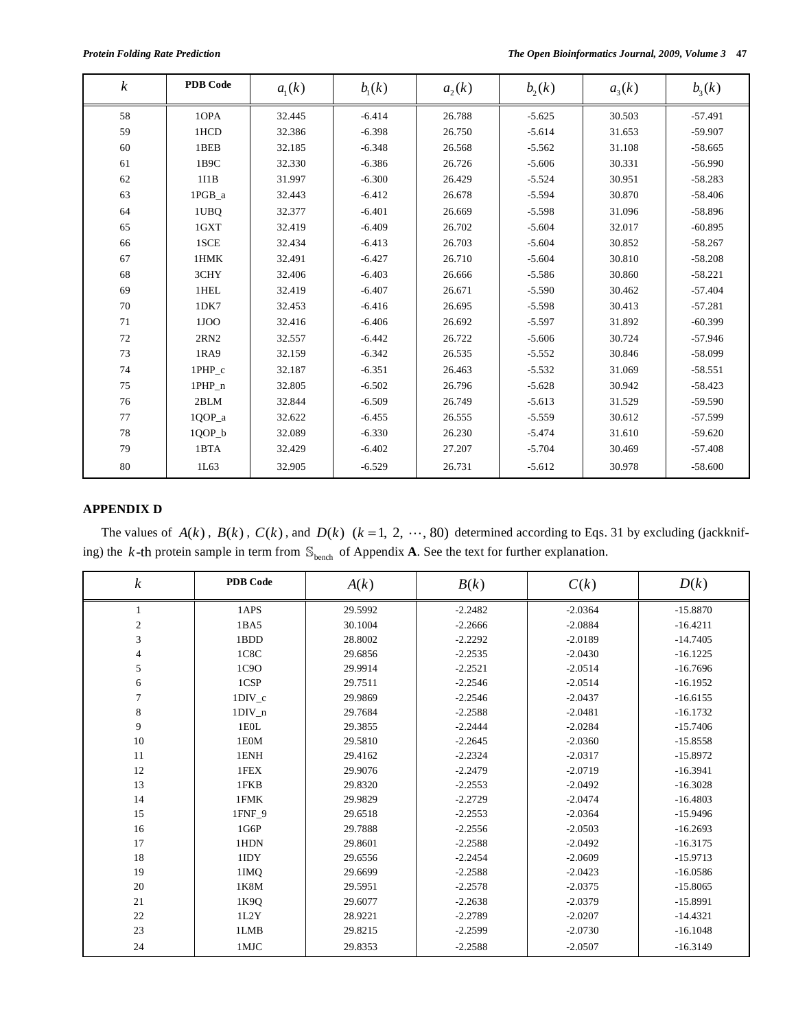| $\boldsymbol{k}$ | <b>PDB</b> Code | a <sub>1</sub> (k) | $b_{1}(k)$ | $a_2(k)$ | $b_2(k)$ | $a_{3}(k)$ | $b_3(k)$  |
|------------------|-----------------|--------------------|------------|----------|----------|------------|-----------|
| 58               | 10PA            | 32.445             | $-6.414$   | 26.788   | $-5.625$ | 30.503     | $-57.491$ |
| 59               | 1HCD            | 32.386             | $-6.398$   | 26.750   | $-5.614$ | 31.653     | $-59.907$ |
| 60               | 1BEB            | 32.185             | $-6.348$   | 26.568   | $-5.562$ | 31.108     | $-58.665$ |
| 61               | 1B9C            | 32.330             | $-6.386$   | 26.726   | $-5.606$ | 30.331     | $-56.990$ |
| 62               | 111B            | 31.997             | $-6.300$   | 26.429   | $-5.524$ | 30.951     | $-58.283$ |
| 63               | 1PGB a          | 32.443             | $-6.412$   | 26.678   | $-5.594$ | 30.870     | $-58.406$ |
| 64               | 1UBQ            | 32.377             | $-6.401$   | 26.669   | $-5.598$ | 31.096     | $-58.896$ |
| 65               | 1GXT            | 32.419             | $-6.409$   | 26.702   | $-5.604$ | 32.017     | $-60.895$ |
| 66               | 1SCE            | 32.434             | $-6.413$   | 26.703   | $-5.604$ | 30.852     | $-58.267$ |
| 67               | 1HMK            | 32.491             | $-6.427$   | 26.710   | $-5.604$ | 30.810     | $-58.208$ |
| 68               | 3CHY            | 32.406             | $-6.403$   | 26.666   | $-5.586$ | 30.860     | $-58.221$ |
| 69               | 1HEL            | 32.419             | $-6.407$   | 26.671   | $-5.590$ | 30.462     | $-57.404$ |
| 70               | 1DK7            | 32.453             | $-6.416$   | 26.695   | $-5.598$ | 30.413     | $-57.281$ |
| 71               | 1JOO            | 32.416             | $-6.406$   | 26.692   | $-5.597$ | 31.892     | $-60.399$ |
| 72               | 2RN2            | 32.557             | $-6.442$   | 26.722   | $-5.606$ | 30.724     | $-57.946$ |
| 73               | 1RA9            | 32.159             | $-6.342$   | 26.535   | $-5.552$ | 30.846     | $-58.099$ |
| 74               | 1PHP_c          | 32.187             | $-6.351$   | 26.463   | $-5.532$ | 31.069     | $-58.551$ |
| 75               | 1PHP n          | 32.805             | $-6.502$   | 26.796   | $-5.628$ | 30.942     | $-58.423$ |
| 76               | 2BLM            | 32.844             | $-6.509$   | 26.749   | $-5.613$ | 31.529     | $-59.590$ |
| 77               | 1QOP_a          | 32.622             | $-6.455$   | 26.555   | $-5.559$ | 30.612     | $-57.599$ |
| 78               | $1QOP_b$        | 32.089             | $-6.330$   | 26.230   | $-5.474$ | 31.610     | $-59.620$ |
| 79               | 1BTA            | 32.429             | $-6.402$   | 27.207   | $-5.704$ | 30.469     | $-57.408$ |
| 80               | 1L63            | 32.905             | $-6.529$   | 26.731   | $-5.612$ | 30.978     | $-58.600$ |

# **APPENDIX D**

The values of  $A(k)$ ,  $B(k)$ ,  $C(k)$ , and  $D(k)$   $(k = 1, 2, \dots, 80)$  determined according to Eqs. 31 by excluding (jackknifing) the *k*-th protein sample in term from  $\mathbb{S}_{\text{bench}}$  of Appendix **A**. See the text for further explanation.

| $\boldsymbol{k}$ | <b>PDB</b> Code | A(k)    | B(k)      | C(k)      | D(k)       |
|------------------|-----------------|---------|-----------|-----------|------------|
| 1                | 1APS            | 29.5992 | $-2.2482$ | $-2.0364$ | $-15.8870$ |
| $\sqrt{2}$       | 1BA5            | 30.1004 | $-2.2666$ | $-2.0884$ | $-16.4211$ |
| 3                | 1BDD            | 28.8002 | $-2.2292$ | $-2.0189$ | $-14.7405$ |
| 4                | 1C8C            | 29.6856 | $-2.2535$ | $-2.0430$ | $-16.1225$ |
| 5                | 1C9O            | 29.9914 | $-2.2521$ | $-2.0514$ | $-16.7696$ |
| 6                | 1CSP            | 29.7511 | $-2.2546$ | $-2.0514$ | $-16.1952$ |
| $\tau$           | $1DIV_c$        | 29.9869 | $-2.2546$ | $-2.0437$ | $-16.6155$ |
| $\,$ 8 $\,$      | $1DIV_n$        | 29.7684 | $-2.2588$ | $-2.0481$ | $-16.1732$ |
| 9                | 1E0L            | 29.3855 | $-2.2444$ | $-2.0284$ | $-15.7406$ |
| 10               | 1E0M            | 29.5810 | $-2.2645$ | $-2.0360$ | $-15.8558$ |
| 11               | 1ENH            | 29.4162 | $-2.2324$ | $-2.0317$ | $-15.8972$ |
| 12               | 1FEX            | 29.9076 | $-2.2479$ | $-2.0719$ | $-16.3941$ |
| 13               | 1FKB            | 29.8320 | $-2.2553$ | $-2.0492$ | $-16.3028$ |
| 14               | 1FMK            | 29.9829 | $-2.2729$ | $-2.0474$ | $-16.4803$ |
| 15               | 1FNF 9          | 29.6518 | $-2.2553$ | $-2.0364$ | $-15.9496$ |
| 16               | 1G6P            | 29.7888 | $-2.2556$ | $-2.0503$ | $-16.2693$ |
| 17               | 1HDN            | 29.8601 | $-2.2588$ | $-2.0492$ | $-16.3175$ |
| 18               | 1IDY            | 29.6556 | $-2.2454$ | $-2.0609$ | $-15.9713$ |
| 19               | 1IMQ            | 29.6699 | $-2.2588$ | $-2.0423$ | $-16.0586$ |
| 20               | 1K8M            | 29.5951 | $-2.2578$ | $-2.0375$ | $-15.8065$ |
| 21               | 1K9Q            | 29.6077 | $-2.2638$ | $-2.0379$ | $-15.8991$ |
| 22               | 1L2Y            | 28.9221 | $-2.2789$ | $-2.0207$ | $-14.4321$ |
| 23               | 1LMB            | 29.8215 | $-2.2599$ | $-2.0730$ | $-16.1048$ |
| 24               | 1MJC            | 29.8353 | $-2.2588$ | $-2.0507$ | $-16.3149$ |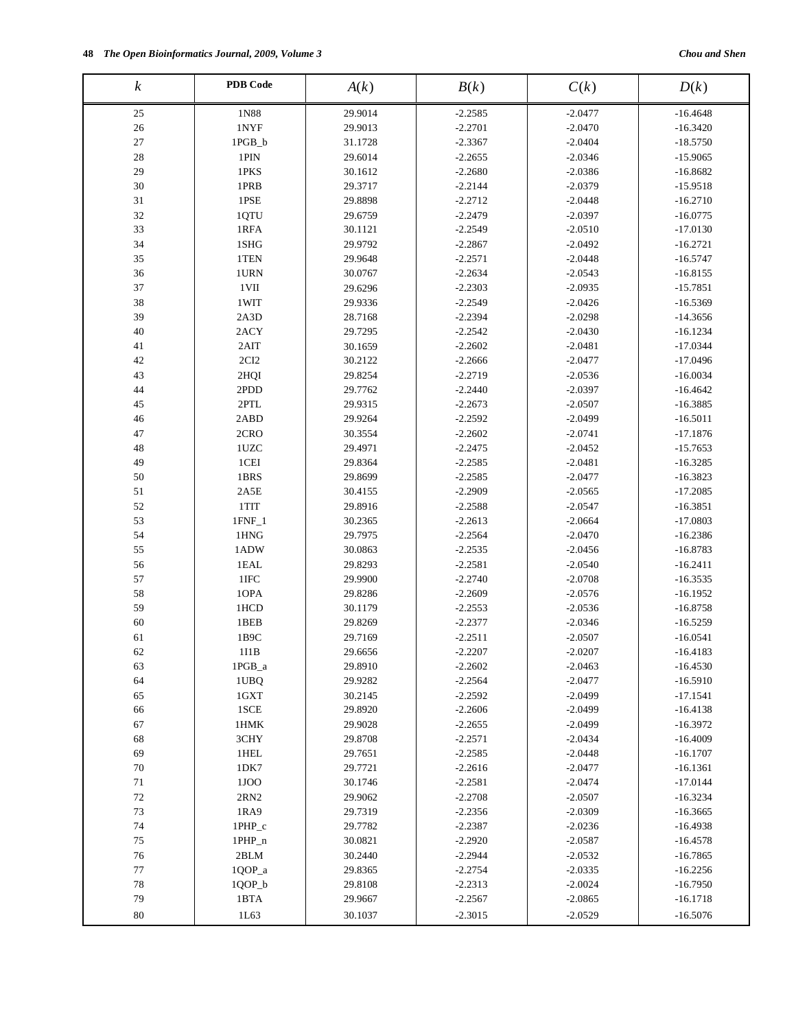| $\boldsymbol{k}$ | <b>PDB</b> Code                   | A(k)    | B(k)      | C(k)      | D(k)       |
|------------------|-----------------------------------|---------|-----------|-----------|------------|
| 25               | 1N88                              | 29.9014 | $-2.2585$ | $-2.0477$ | $-16.4648$ |
| 26               | 1NYF                              | 29.9013 | $-2.2701$ | $-2.0470$ | $-16.3420$ |
| $27\,$           | 1PGB_b                            | 31.1728 | $-2.3367$ | $-2.0404$ | $-18.5750$ |
| 28               | 1PIN                              | 29.6014 | $-2.2655$ | $-2.0346$ | $-15.9065$ |
| 29               | 1PKS                              | 30.1612 | $-2.2680$ | $-2.0386$ | $-16.8682$ |
| 30               | 1PRB                              | 29.3717 | $-2.2144$ | $-2.0379$ | $-15.9518$ |
| $31\,$           | 1PSE                              | 29.8898 | $-2.2712$ | $-2.0448$ | $-16.2710$ |
| 32               | 1QTU                              | 29.6759 | $-2.2479$ | $-2.0397$ | $-16.0775$ |
| 33               | 1RFA                              | 30.1121 | $-2.2549$ | $-2.0510$ | $-17.0130$ |
| 34               | 1SHG                              | 29.9792 | $-2.2867$ | $-2.0492$ | $-16.2721$ |
| 35               | 1TEN                              | 29.9648 | $-2.2571$ | $-2.0448$ | $-16.5747$ |
| 36               | 1URN                              | 30.0767 | $-2.2634$ | $-2.0543$ | $-16.8155$ |
| 37               | 1VII                              | 29.6296 | $-2.2303$ | $-2.0935$ | $-15.7851$ |
| 38               | 1WIT                              | 29.9336 | $-2.2549$ | $-2.0426$ | $-16.5369$ |
| 39               | 2A3D                              | 28.7168 | $-2.2394$ | $-2.0298$ | $-14.3656$ |
| 40               | 2ACY                              | 29.7295 | $-2.2542$ | $-2.0430$ | $-16.1234$ |
| 41               | 2AIT                              | 30.1659 | $-2.2602$ | $-2.0481$ | $-17.0344$ |
| 42               | 2CI2                              | 30.2122 | $-2.2666$ | $-2.0477$ | $-17.0496$ |
| 43               | 2HQI                              | 29.8254 | $-2.2719$ | $-2.0536$ | $-16.0034$ |
| 44               | 2PDD                              | 29.7762 | $-2.2440$ | $-2.0397$ | $-16.4642$ |
| 45               | $2\mathrm{P}\mathrm{T}\mathrm{L}$ | 29.9315 | $-2.2673$ | $-2.0507$ | $-16.3885$ |
| 46               | 2ABD                              | 29.9264 | $-2.2592$ | $-2.0499$ | $-16.5011$ |
| $47\,$           | 2CRO                              | 30.3554 | $-2.2602$ | $-2.0741$ | $-17.1876$ |
| 48               | 1UZC                              | 29.4971 | $-2.2475$ | $-2.0452$ | $-15.7653$ |
| 49               | 1CEI                              | 29.8364 | $-2.2585$ | $-2.0481$ | $-16.3285$ |
| 50               | 1BRS                              | 29.8699 | $-2.2585$ | $-2.0477$ | $-16.3823$ |
| 51               | 2A5E                              | 30.4155 | $-2.2909$ | $-2.0565$ | $-17.2085$ |
| 52               | 1TIT                              | 29.8916 | $-2.2588$ | $-2.0547$ | $-16.3851$ |
| 53               | $1$ FNF $\_1$                     | 30.2365 | $-2.2613$ | $-2.0664$ | $-17.0803$ |
| 54               | 1HNG                              | 29.7975 | $-2.2564$ | $-2.0470$ | $-16.2386$ |
| 55               | 1ADW                              | 30.0863 | $-2.2535$ | $-2.0456$ | $-16.8783$ |
| 56               | 1EAL                              | 29.8293 | $-2.2581$ | $-2.0540$ | $-16.2411$ |
| 57               | 1IFC                              | 29.9900 | $-2.2740$ | $-2.0708$ | $-16.3535$ |
| 58               | 10PA                              | 29.8286 | $-2.2609$ | $-2.0576$ | $-16.1952$ |
| 59               | 1HCD                              | 30.1179 | $-2.2553$ | $-2.0536$ | $-16.8758$ |
| 60               | 1BEB                              | 29.8269 | $-2.2377$ | $-2.0346$ | $-16.5259$ |
| 61               | 1B9C                              | 29.7169 | $-2.2511$ | $-2.0507$ | $-16.0541$ |
| 62               | 111B                              | 29.6656 | $-2.2207$ | $-2.0207$ | $-16.4183$ |
| 63               | $1{\rm PGB\_a}$                   | 29.8910 | $-2.2602$ | $-2.0463$ | $-16.4530$ |
| 64               | 1UBQ                              | 29.9282 | $-2.2564$ | $-2.0477$ | $-16.5910$ |
| 65               | 1GXT                              | 30.2145 | $-2.2592$ | $-2.0499$ | $-17.1541$ |
| 66               | 1SCE                              | 29.8920 | $-2.2606$ | $-2.0499$ | $-16.4138$ |
| 67               | 1HMK                              | 29.9028 | $-2.2655$ | $-2.0499$ | $-16.3972$ |
| 68               | 3CHY                              | 29.8708 | $-2.2571$ | $-2.0434$ | $-16.4009$ |
| 69               | 1HEL                              | 29.7651 | $-2.2585$ | $-2.0448$ | $-16.1707$ |
| 70               | 1DK7                              | 29.7721 | $-2.2616$ | $-2.0477$ | $-16.1361$ |
| 71               | 1JOO                              | 30.1746 | $-2.2581$ | $-2.0474$ | $-17.0144$ |
| 72               | 2RN2                              | 29.9062 | $-2.2708$ | $-2.0507$ | $-16.3234$ |
| 73               | 1RA9                              | 29.7319 | $-2.2356$ | $-2.0309$ | $-16.3665$ |
| 74               | 1PHP_c                            | 29.7782 | $-2.2387$ | $-2.0236$ | $-16.4938$ |
| $75\,$           | $1$ PHP_n                         | 30.0821 | $-2.2920$ | $-2.0587$ | $-16.4578$ |
| 76               | 2BLM                              | 30.2440 | $-2.2944$ | $-2.0532$ | $-16.7865$ |
| 77               | 1QOP_a                            | 29.8365 | $-2.2754$ | $-2.0335$ | $-16.2256$ |
| 78               | $1QOP_b$                          | 29.8108 | $-2.2313$ | $-2.0024$ | $-16.7950$ |
| 79               | 1BTA                              | 29.9667 | $-2.2567$ | $-2.0865$ | $-16.1718$ |
| $80\,$           | 1L63                              |         | $-2.3015$ | $-2.0529$ |            |
|                  |                                   | 30.1037 |           |           | $-16.5076$ |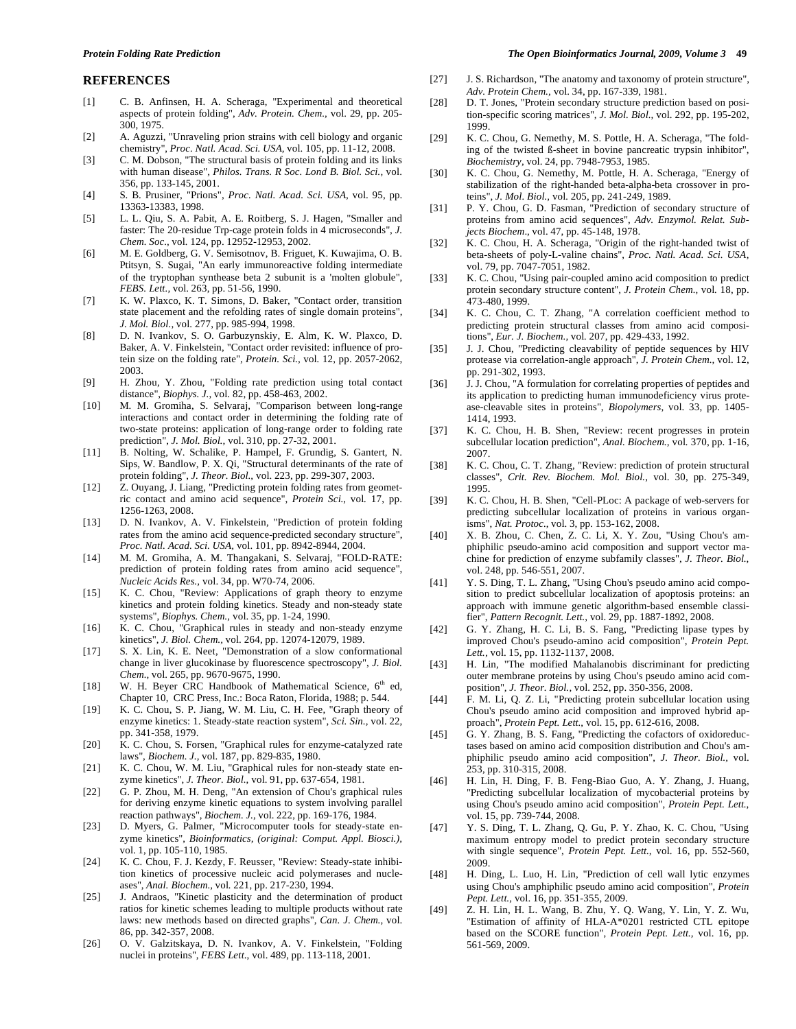#### **REFERENCES**

- [1] C. B. Anfinsen, H. A. Scheraga, "Experimental and theoretical aspects of protein folding", *Adv. Protein. Chem.,* vol. 29, pp. 205- 300, 1975.
- [2] A. Aguzzi, "Unraveling prion strains with cell biology and organic chemistry", *Proc. Natl. Acad. Sci. USA,* vol. 105, pp. 11-12, 2008.
- [3] C. M. Dobson, "The structural basis of protein folding and its links with human disease", *Philos. Trans. R Soc. Lond B. Biol. Sci.,* vol. 356, pp. 133-145, 2001.
- [4] S. B. Prusiner, "Prions", *Proc. Natl. Acad. Sci. USA,* vol. 95, pp. 13363-13383, 1998.
- [5] L. L. Qiu, S. A. Pabit, A. E. Roitberg, S. J. Hagen, "Smaller and faster: The 20-residue Trp-cage protein folds in 4 microseconds", *J. Chem. Soc.,* vol*.* 124, pp. 12952-12953, 2002.
- [6] M. E. Goldberg, G. V. Semisotnov, B. Friguet, K. Kuwajima, O. B. Ptitsyn, S. Sugai, "An early immunoreactive folding intermediate of the tryptophan synthease beta 2 subunit is a 'molten globule", *FEBS. Lett.,* vol. 263, pp. 51-56, 1990.
- [7] K. W. Plaxco, K. T. Simons, D. Baker, "Contact order, transition state placement and the refolding rates of single domain proteins", *J. Mol. Biol.,* vol. 277, pp. 985-994, 1998.
- [8] D. N. Ivankov, S. O. Garbuzynskiy, E. Alm, K. W. Plaxco, D. Baker, A. V. Finkelstein, "Contact order revisited: influence of protein size on the folding rate", *Protein. Sci.,* vol*.* 12, pp. 2057-2062, 2003.
- [9] H. Zhou, Y. Zhou, "Folding rate prediction using total contact distance", *Biophys. J.,* vol. 82, pp. 458-463, 2002.
- [10] M. M. Gromiha, S. Selvaraj, "Comparison between long-range interactions and contact order in determining the folding rate of two-state proteins: application of long-range order to folding rate prediction", *J. Mol. Biol.,* vol. 310, pp. 27-32, 2001.
- [11] B. Nolting, W. Schalike, P. Hampel, F. Grundig, S. Gantert, N. Sips, W. Bandlow, P. X. Qi, "Structural determinants of the rate of protein folding", *J. Theor. Biol.,* vol. 223, pp. 299-307, 2003.
- [12] Z. Ouyang, J. Liang, "Predicting protein folding rates from geometric contact and amino acid sequence", *Protein Sci.,* vol*.* 17, pp. 1256-1263, 2008.
- [13] D. N. Ivankov, A. V. Finkelstein, "Prediction of protein folding rates from the amino acid sequence-predicted secondary structure", *Proc. Natl. Acad. Sci. USA,* vol. 101, pp. 8942-8944, 2004.
- [14] M. M. Gromiha, A. M. Thangakani, S. Selvaraj, "FOLD-RATE: prediction of protein folding rates from amino acid sequence", *Nucleic Acids Res.,* vol. 34, pp. W70-74, 2006.
- [15] K. C. Chou, "Review: Applications of graph theory to enzyme kinetics and protein folding kinetics. Steady and non-steady state systems", *Biophys. Chem.,* vol. 35, pp. 1-24, 1990.
- [16] K. C. Chou, "Graphical rules in steady and non-steady enzyme kinetics", *J. Biol. Chem.,* vol. 264, pp. 12074-12079, 1989.
- [17] S. X. Lin, K. E. Neet, "Demonstration of a slow conformational change in liver glucokinase by fluorescence spectroscopy", *J. Biol. Chem.,* vol. 265, pp. 9670-9675, 1990.
- [18] W. H. Beyer CRC Handbook of Mathematical Science, 6<sup>th</sup> ed, Chapter 10, CRC Press, Inc.: Boca Raton, Florida, 1988; p. 544.
- [19] K. C. Chou, S. P. Jiang, W. M. Liu, C. H. Fee, "Graph theory of enzyme kinetics: 1. Steady-state reaction system", *Sci. Sin.,* vol. 22, pp. 341-358, 1979.
- [20] K. C. Chou, S. Forsen, "Graphical rules for enzyme-catalyzed rate laws", *Biochem. J.,* vol. 187, pp. 829-835, 1980.
- [21] K. C. Chou, W. M. Liu, "Graphical rules for non-steady state enzyme kinetics", *J. Theor. Biol.*, vol. 91, pp. 637-654, 1981.
- [22] G. P. Zhou, M. H. Deng, "An extension of Chou's graphical rules for deriving enzyme kinetic equations to system involving parallel reaction pathways", *Biochem. J.*, vol. 222, pp. 169-176, 1984.
- [23] D. Myers, G. Palmer, "Microcomputer tools for steady-state enzyme kinetics", *Bioinformatics, (original: Comput. Appl. Biosci.),* vol. 1, pp. 105-110, 1985.
- [24] K. C. Chou, F. J. Kezdy, F. Reusser, "Review: Steady-state inhibition kinetics of processive nucleic acid polymerases and nucleases", *Anal. Biochem.,* vol*.* 221, pp. 217-230, 1994.
- [25] J. Andraos, "Kinetic plasticity and the determination of product ratios for kinetic schemes leading to multiple products without rate laws: new methods based on directed graphs", *Can. J. Chem.,* vol. 86, pp. 342-357, 2008.
- [26] O. V. Galzitskaya, D. N. Ivankov, A. V. Finkelstein, "Folding nuclei in proteins", *FEBS Lett*., vol. 489, pp. 113-118, 2001.
- [27] J. S. Richardson, "The anatomy and taxonomy of protein structure", *Adv. Protein Chem.,* vol. 34, pp. 167-339, 1981.
- [28] D. T. Jones, "Protein secondary structure prediction based on position-specific scoring matrices", *J. Mol. Biol.,* vol. 292, pp. 195-202, 1999.
- [29] K. C. Chou, G. Nemethy, M. S. Pottle, H. A. Scheraga, "The folding of the twisted ß-sheet in bovine pancreatic trypsin inhibitor", *Biochemistry,* vol. 24, pp. 7948-7953, 1985.
- [30] K. C. Chou, G. Nemethy, M. Pottle, H. A. Scheraga, "Energy of stabilization of the right-handed beta-alpha-beta crossover in proteins", *J. Mol. Biol.,* vol*.* 205, pp. 241-249, 1989.
- [31] P. Y. Chou, G. D. Fasman, "Prediction of secondary structure of proteins from amino acid sequences", *Adv. Enzymol. Relat. Subjects Biochem*., vol. 47, pp. 45-148, 1978.
- [32] K. C. Chou, H. A. Scheraga, "Origin of the right-handed twist of beta-sheets of poly-L-valine chains", *Proc. Natl. Acad. Sci. USA,* vol. 79, pp. 7047-7051, 1982.
- [33] K. C. Chou, "Using pair-coupled amino acid composition to predict protein secondary structure content", *J. Protein Chem.,* vol*.* 18, pp. 473-480, 1999.
- [34] K. C. Chou, C. T. Zhang, "A correlation coefficient method to predicting protein structural classes from amino acid compositions", *Eur. J. Biochem.,* vol*.* 207, pp. 429-433, 1992.
- [35] J. J. Chou, "Predicting cleavability of peptide sequences by HIV protease via correlation-angle approach", *J. Protein Chem.,* vol. 12, pp. 291-302, 1993.
- [36] J.J. Chou, "A formulation for correlating properties of peptides and its application to predicting human immunodeficiency virus protease-cleavable sites in proteins", *Biopolymers*, vol. 33, pp. 1405- 1414, 1993.
- [37] K. C. Chou, H. B. Shen, "Review: recent progresses in protein subcellular location prediction", *Anal. Biochem.,* vol*.* 370, pp. 1-16, 2007.
- [38] K. C. Chou, C. T. Zhang, "Review: prediction of protein structural classes", *Crit. Rev. Biochem. Mol. Biol.,* vol. 30, pp. 275-349, 1995.
- [39] K. C. Chou, H. B. Shen, "Cell-PLoc: A package of web-servers for predicting subcellular localization of proteins in various organisms", *Nat. Protoc.*, vol. 3, pp. 153-162, 2008.
- [40] X. B. Zhou, C. Chen, Z. C. Li, X. Y. Zou, "Using Chou's amphiphilic pseudo-amino acid composition and support vector machine for prediction of enzyme subfamily classes", *J. Theor. Biol.,* vol. 248, pp. 546-551, 2007.
- [41] Y. S. Ding, T. L. Zhang, "Using Chou's pseudo amino acid composition to predict subcellular localization of apoptosis proteins: an approach with immune genetic algorithm-based ensemble classifier", *Pattern Recognit. Lett.,* vol. 29, pp. 1887-1892, 2008.
- [42] G. Y. Zhang, H. C. Li, B. S. Fang, "Predicting lipase types by improved Chou's pseudo-amino acid composition", *Protein Pept. Lett.,* vol. 15, pp. 1132-1137, 2008.
- [43] H. Lin, "The modified Mahalanobis discriminant for predicting outer membrane proteins by using Chou's pseudo amino acid composition", *J. Theor. Biol.,* vol. 252, pp. 350-356, 2008.
- [44] F. M. Li, Q. Z. Li, "Predicting protein subcellular location using Chou's pseudo amino acid composition and improved hybrid approach", *Protein Pept. Lett.*, vol. 15, pp. 612-616, 2008.
- [45] G. Y. Zhang, B. S. Fang, "Predicting the cofactors of oxidoreductases based on amino acid composition distribution and Chou's amphiphilic pseudo amino acid composition", *J. Theor. Biol.,* vol. 253, pp. 310-315, 2008.
- [46] H. Lin, H. Ding, F. B. Feng-Biao Guo, A. Y. Zhang, J. Huang, "Predicting subcellular localization of mycobacterial proteins by using Chou's pseudo amino acid composition", *Protein Pept. Lett.*, vol. 15, pp. 739-744, 2008.
- [47] Y. S. Ding, T. L. Zhang, Q. Gu, P. Y. Zhao, K. C. Chou, "Using maximum entropy model to predict protein secondary structure with single sequence", *Protein Pept. Lett.,* vol. 16, pp. 552-560, 2009.
- [48] H. Ding, L. Luo, H. Lin, "Prediction of cell wall lytic enzymes using Chou's amphiphilic pseudo amino acid composition", *Protein Pept. Lett.,* vol. 16, pp. 351-355, 2009.
- [49] Z. H. Lin, H. L. Wang, B. Zhu, Y. Q. Wang, Y. Lin, Y. Z. Wu, "Estimation of affinity of HLA-A\*0201 restricted CTL epitope based on the SCORE function", *Protein Pept. Lett.,* vol. 16, pp. 561-569, 2009.